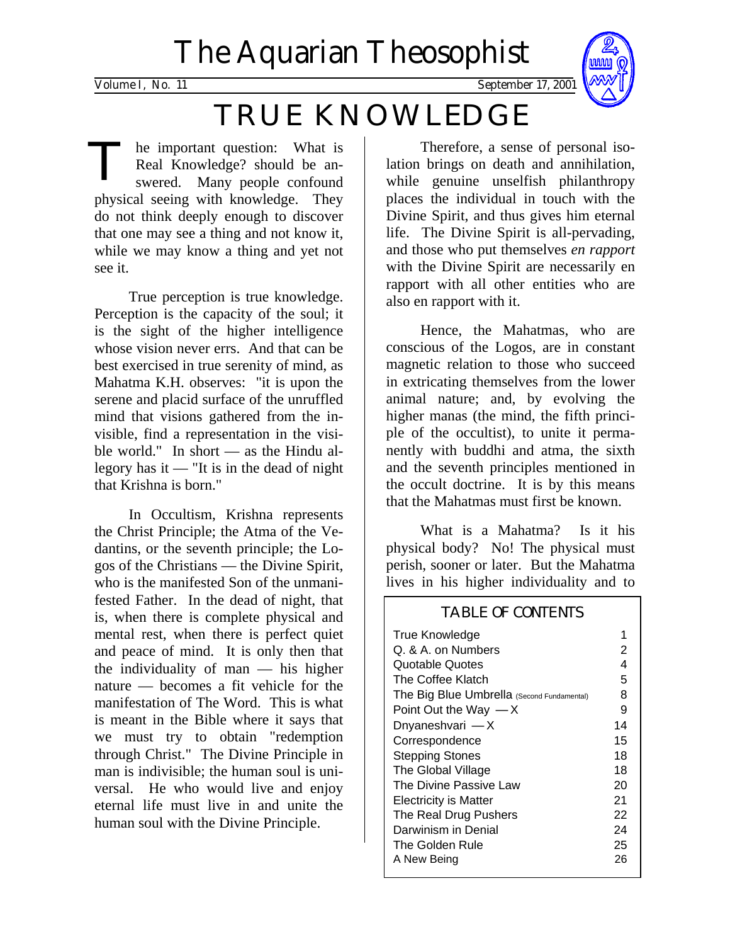# The Aquarian Theosophist



The important question: What is<br>Real Knowledge? should be answered. Many people confound Real Knowledge? should be anphysical seeing with knowledge. They do not think deeply enough to discover that one may see a thing and not know it, while we may know a thing and yet not see it.

True perception is true knowledge. Perception is the capacity of the soul; it is the sight of the higher intelligence whose vision never errs. And that can be best exercised in true serenity of mind, as Mahatma K.H. observes: "it is upon the serene and placid surface of the unruffled mind that visions gathered from the invisible, find a representation in the visible world." In short — as the Hindu allegory has it — "It is in the dead of night that Krishna is born."

In Occultism, Krishna represents the Christ Principle; the Atma of the Vedantins, or the seventh principle; the Logos of the Christians — the Divine Spirit, who is the manifested Son of the unmanifested Father. In the dead of night, that is, when there is complete physical and mental rest, when there is perfect quiet and peace of mind. It is only then that the individuality of man — his higher nature — becomes a fit vehicle for the manifestation of The Word. This is what is meant in the Bible where it says that we must try to obtain "redemption through Christ." The Divine Principle in man is indivisible; the human soul is universal. He who would live and enjoy eternal life must live in and unite the human soul with the Divine Principle.

Therefore, a sense of personal isolation brings on death and annihilation, while genuine unselfish philanthropy places the individual in touch with the Divine Spirit, and thus gives him eternal life. The Divine Spirit is all-pervading, and those who put themselves *en rapport* with the Divine Spirit are necessarily en rapport with all other entities who are also en rapport with it.

Hence, the Mahatmas, who are conscious of the Logos, are in constant magnetic relation to those who succeed in extricating themselves from the lower animal nature; and, by evolving the higher manas (the mind, the fifth principle of the occultist), to unite it permanently with buddhi and atma, the sixth and the seventh principles mentioned in the occult doctrine. It is by this means that the Mahatmas must first be known.

What is a Mahatma? Is it his physical body? No! The physical must perish, sooner or later. But the Mahatma lives in his higher individuality and to

| <b>TABLE OF CONTENTS</b>                   |    |
|--------------------------------------------|----|
| True Knowledge                             | 1  |
| Q. & A. on Numbers                         | 2  |
| Quotable Quotes                            | 4  |
| The Coffee Klatch                          | 5  |
| The Big Blue Umbrella (Second Fundamental) | 8  |
| Point Out the Way $-X$                     | 9  |
| Dnyaneshvari -X                            | 14 |
| Correspondence                             | 15 |
| <b>Stepping Stones</b>                     | 18 |
| The Global Village                         | 18 |
| The Divine Passive Law                     | 20 |
| Electricity is Matter                      | 21 |
| The Real Drug Pushers                      | 22 |
| Darwinism in Denial                        | 24 |
| The Golden Rule                            | 25 |
| A New Being                                | 26 |
|                                            |    |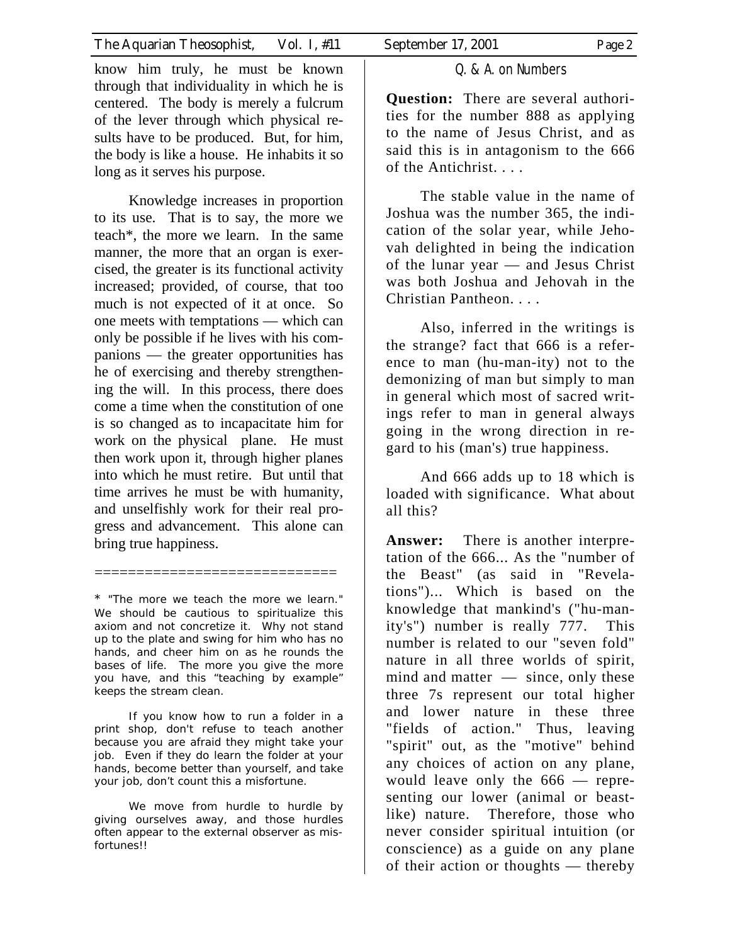know him truly, he must be known through that individuality in which he is centered. The body is merely a fulcrum of the lever through which physical results have to be produced. But, for him, the body is like a house. He inhabits it so long as it serves his purpose.

Knowledge increases in proportion to its use. That is to say, the more we teach\*, the more we learn. In the same manner, the more that an organ is exercised, the greater is its functional activity increased; provided, of course, that too much is not expected of it at once. So one meets with temptations — which can only be possible if he lives with his companions — the greater opportunities has he of exercising and thereby strengthening the will. In this process, there does come a time when the constitution of one is so changed as to incapacitate him for work on the physical plane. He must then work upon it, through higher planes into which he must retire. But until that time arrives he must be with humanity, and unselfishly work for their real progress and advancement. This alone can bring true happiness.

\* "The more we teach the more we learn." We should be cautious to spiritualize this axiom and not concretize it. Why not stand up to the plate and swing for him who has no hands, and cheer him on as he rounds the bases of life. The more you give the more you have, and this "teaching by example" keeps the stream clean.

=============================

 If you know how to run a folder in a print shop, don't refuse to teach another because you are afraid they might take your job. Even if they do learn the folder at your hands, become better than yourself, and take your job, don't count this a misfortune.

 We move from hurdle to hurdle by giving ourselves away, and those hurdles often appear to the external observer as misfortunes!!

## Q. & A. on Numbers

**Question:** There are several authorities for the number 888 as applying to the name of Jesus Christ, and as said this is in antagonism to the 666 of the Antichrist. . . .

 The stable value in the name of Joshua was the number 365, the indication of the solar year, while Jehovah delighted in being the indication of the lunar year — and Jesus Christ was both Joshua and Jehovah in the Christian Pantheon. . . .

 Also, inferred in the writings is the strange? fact that 666 is a reference to man (hu-man-ity) not to the demonizing of man but simply to man in general which most of sacred writings refer to man in general always going in the wrong direction in regard to his (man's) true happiness.

 And 666 adds up to 18 which is loaded with significance. What about all this?

**Answer:** There is another interpretation of the 666... As the "number of the Beast" (as said in "Revelations")... Which is based on the knowledge that mankind's ("hu-manity's") number is really 777. This number is related to our "seven fold" nature in all three worlds of spirit, mind and matter — since, only these three 7s represent our total higher and lower nature in these three "fields of action." Thus, leaving "spirit" out, as the "motive" behind any choices of action on any plane, would leave only the 666 — representing our lower (animal or beastlike) nature. Therefore, those who never consider spiritual intuition (or conscience) as a guide on any plane of their action or thoughts — thereby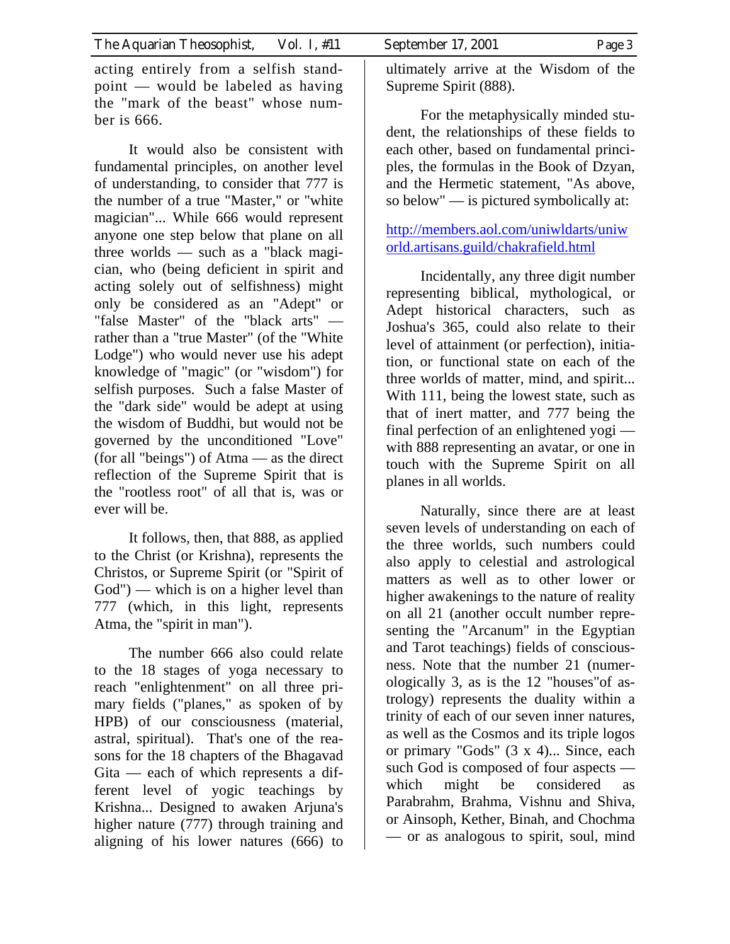acting entirely from a selfish standpoint — would be labeled as having the "mark of the beast" whose number is 666.

It would also be consistent with fundamental principles, on another level of understanding, to consider that 777 is the number of a true "Master," or "white magician"... While 666 would represent anyone one step below that plane on all three worlds — such as a "black magician, who (being deficient in spirit and acting solely out of selfishness) might only be considered as an "Adept" or "false Master" of the "black arts" rather than a "true Master" (of the "White Lodge") who would never use his adept knowledge of "magic" (or "wisdom") for selfish purposes. Such a false Master of the "dark side" would be adept at using the wisdom of Buddhi, but would not be governed by the unconditioned "Love" (for all "beings") of Atma — as the direct reflection of the Supreme Spirit that is the "rootless root" of all that is, was or ever will be.

It follows, then, that 888, as applied to the Christ (or Krishna), represents the Christos, or Supreme Spirit (or "Spirit of God") — which is on a higher level than 777 (which, in this light, represents Atma, the "spirit in man").

The number 666 also could relate to the 18 stages of yoga necessary to reach "enlightenment" on all three primary fields ("planes," as spoken of by HPB) of our consciousness (material, astral, spiritual). That's one of the reasons for the 18 chapters of the Bhagavad Gita — each of which represents a different level of yogic teachings by Krishna... Designed to awaken Arjuna's higher nature (777) through training and aligning of his lower natures (666) to

ultimately arrive at the Wisdom of the Supreme Spirit (888).

For the metaphysically minded student, the relationships of these fields to each other, based on fundamental principles, the formulas in the Book of Dzyan, and the Hermetic statement, "As above, so below" — is pictured symbolically at:

[http://members.aol.com/uniwldarts/uniw](http://members.aol.com/uniwldarts/uniworld.artisans.guild/chakrafield.html) [orld.artisans.guild/chakrafield.html](http://members.aol.com/uniwldarts/uniworld.artisans.guild/chakrafield.html)

Incidentally, any three digit number representing biblical, mythological, or Adept historical characters, such as Joshua's 365, could also relate to their level of attainment (or perfection), initiation, or functional state on each of the three worlds of matter, mind, and spirit... With 111, being the lowest state, such as that of inert matter, and 777 being the final perfection of an enlightened yogi with 888 representing an avatar, or one in touch with the Supreme Spirit on all planes in all worlds.

Naturally, since there are at least seven levels of understanding on each of the three worlds, such numbers could also apply to celestial and astrological matters as well as to other lower or higher awakenings to the nature of reality on all 21 (another occult number representing the "Arcanum" in the Egyptian and Tarot teachings) fields of consciousness. Note that the number 21 (numerologically 3, as is the 12 "houses"of astrology) represents the duality within a trinity of each of our seven inner natures, as well as the Cosmos and its triple logos or primary "Gods" (3 x 4)... Since, each such God is composed of four aspects which might be considered as Parabrahm, Brahma, Vishnu and Shiva, or Ainsoph, Kether, Binah, and Chochma — or as analogous to spirit, soul, mind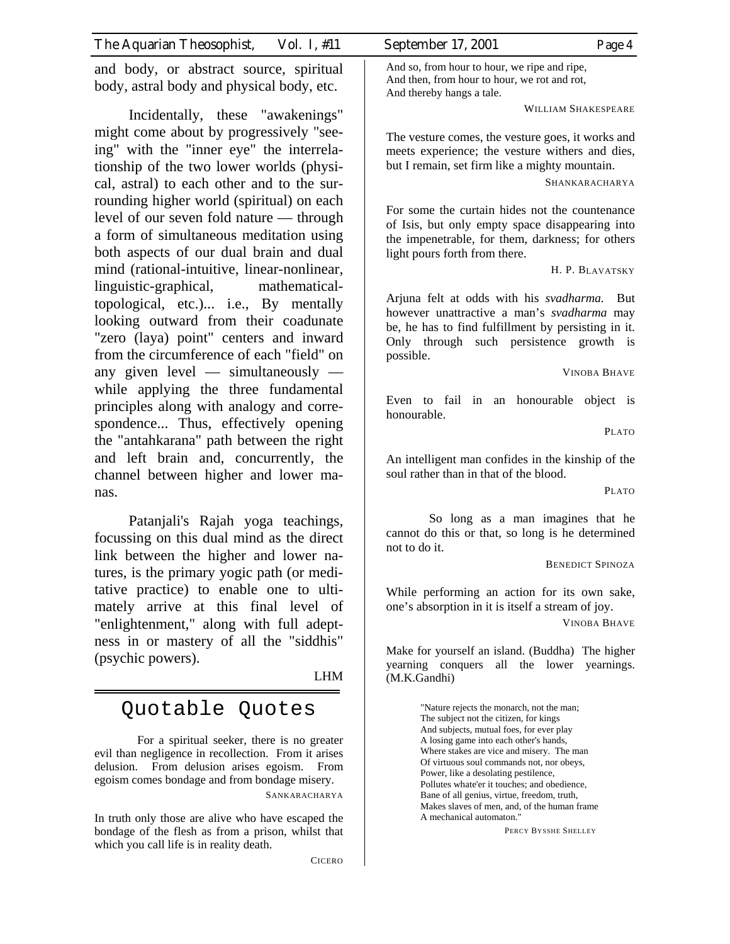and body, or abstract source, spiritual body, astral body and physical body, etc.

Incidentally, these "awakenings" might come about by progressively "seeing" with the "inner eye" the interrelationship of the two lower worlds (physical, astral) to each other and to the surrounding higher world (spiritual) on each level of our seven fold nature — through a form of simultaneous meditation using both aspects of our dual brain and dual mind (rational-intuitive, linear-nonlinear, linguistic-graphical, mathematicaltopological, etc.)... i.e., By mentally looking outward from their coadunate "zero (laya) point" centers and inward from the circumference of each "field" on any given level — simultaneously while applying the three fundamental principles along with analogy and correspondence... Thus, effectively opening the "antahkarana" path between the right and left brain and, concurrently, the channel between higher and lower manas.

Patanjali's Rajah yoga teachings, focussing on this dual mind as the direct link between the higher and lower natures, is the primary yogic path (or meditative practice) to enable one to ultimately arrive at this final level of "enlightenment," along with full adeptness in or mastery of all the "siddhis" (psychic powers).

LHM

# Quotable Quotes

For a spiritual seeker, there is no greater evil than negligence in recollection. From it arises delusion. From delusion arises egoism. From egoism comes bondage and from bondage misery.

SANKARACHARYA

In truth only those are alive who have escaped the bondage of the flesh as from a prison, whilst that which you call life is in reality death.

CICERO

And so, from hour to hour, we ripe and ripe, And then, from hour to hour, we rot and rot, And thereby hangs a tale.

WILLIAM SHAKESPEARE

The vesture comes, the vesture goes, it works and meets experience; the vesture withers and dies, but I remain, set firm like a mighty mountain.

SHANKARACHARYA

For some the curtain hides not the countenance of Isis, but only empty space disappearing into the impenetrable, for them, darkness; for others light pours forth from there.

H. P. BLAVATSKY

Arjuna felt at odds with his *svadharma.* But however unattractive a man's *svadharma* may be, he has to find fulfillment by persisting in it. Only through such persistence growth is possible.

VINOBA BHAVE

Even to fail in an honourable object is honourable.

PLATO

An intelligent man confides in the kinship of the soul rather than in that of the blood.

PLATO

So long as a man imagines that he cannot do this or that, so long is he determined not to do it.

BENEDICT SPINOZA

While performing an action for its own sake, one's absorption in it is itself a stream of joy.

VINOBA BHAVE

Make for yourself an island. (Buddha) The higher yearning conquers all the lower yearnings. (M.K.Gandhi)

> "Nature rejects the monarch, not the man; The subject not the citizen, for kings And subjects, mutual foes, for ever play A losing game into each other's hands, Where stakes are vice and misery. The man Of virtuous soul commands not, nor obeys, Power, like a desolating pestilence, Pollutes whate'er it touches; and obedience, Bane of all genius, virtue, freedom, truth, Makes slaves of men, and, of the human frame A mechanical automaton."

> > PERCY BYSSHE SHELLEY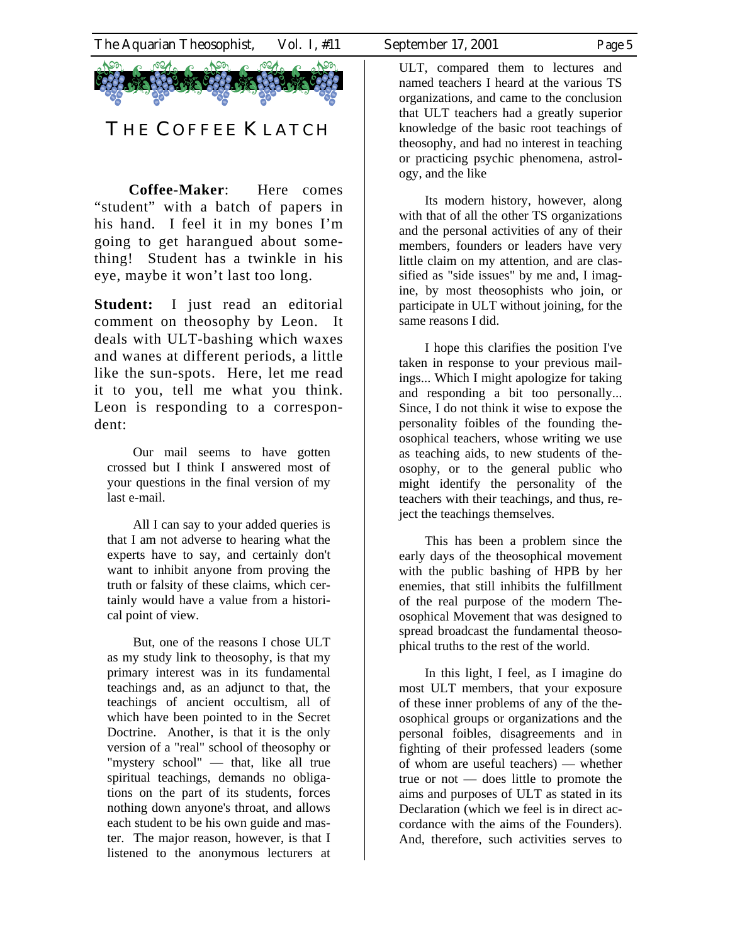

**Coffee-Maker**: Here comes "student" with a batch of papers in his hand. I feel it in my bones I'm going to get harangued about something! Student has a twinkle in his eye, maybe it won't last too long.

**Student:** I just read an editorial comment on theosophy by Leon. It deals with ULT-bashing which waxes and wanes at different periods, a little like the sun-spots. Here, let me read it to you, tell me what you think. Leon is responding to a correspondent:

Our mail seems to have gotten crossed but I think I answered most of your questions in the final version of my last e-mail.

All I can say to your added queries is that I am not adverse to hearing what the experts have to say, and certainly don't want to inhibit anyone from proving the truth or falsity of these claims, which certainly would have a value from a historical point of view.

But, one of the reasons I chose ULT as my study link to theosophy, is that my primary interest was in its fundamental teachings and, as an adjunct to that, the teachings of ancient occultism, all of which have been pointed to in the Secret Doctrine. Another, is that it is the only version of a "real" school of theosophy or "mystery school" — that, like all true spiritual teachings, demands no obligations on the part of its students, forces nothing down anyone's throat, and allows each student to be his own guide and master. The major reason, however, is that I listened to the anonymous lecturers at

ULT, compared them to lectures and named teachers I heard at the various TS organizations, and came to the conclusion that ULT teachers had a greatly superior knowledge of the basic root teachings of theosophy, and had no interest in teaching or practicing psychic phenomena, astrology, and the like

Its modern history, however, along with that of all the other TS organizations and the personal activities of any of their members, founders or leaders have very little claim on my attention, and are classified as "side issues" by me and, I imagine, by most theosophists who join, or participate in ULT without joining, for the same reasons I did.

I hope this clarifies the position I've taken in response to your previous mailings... Which I might apologize for taking and responding a bit too personally... Since, I do not think it wise to expose the personality foibles of the founding theosophical teachers, whose writing we use as teaching aids, to new students of theosophy, or to the general public who might identify the personality of the teachers with their teachings, and thus, reject the teachings themselves.

This has been a problem since the early days of the theosophical movement with the public bashing of HPB by her enemies, that still inhibits the fulfillment of the real purpose of the modern Theosophical Movement that was designed to spread broadcast the fundamental theosophical truths to the rest of the world.

In this light, I feel, as I imagine do most ULT members, that your exposure of these inner problems of any of the theosophical groups or organizations and the personal foibles, disagreements and in fighting of their professed leaders (some of whom are useful teachers) — whether true or not — does little to promote the aims and purposes of ULT as stated in its Declaration (which we feel is in direct accordance with the aims of the Founders). And, therefore, such activities serves to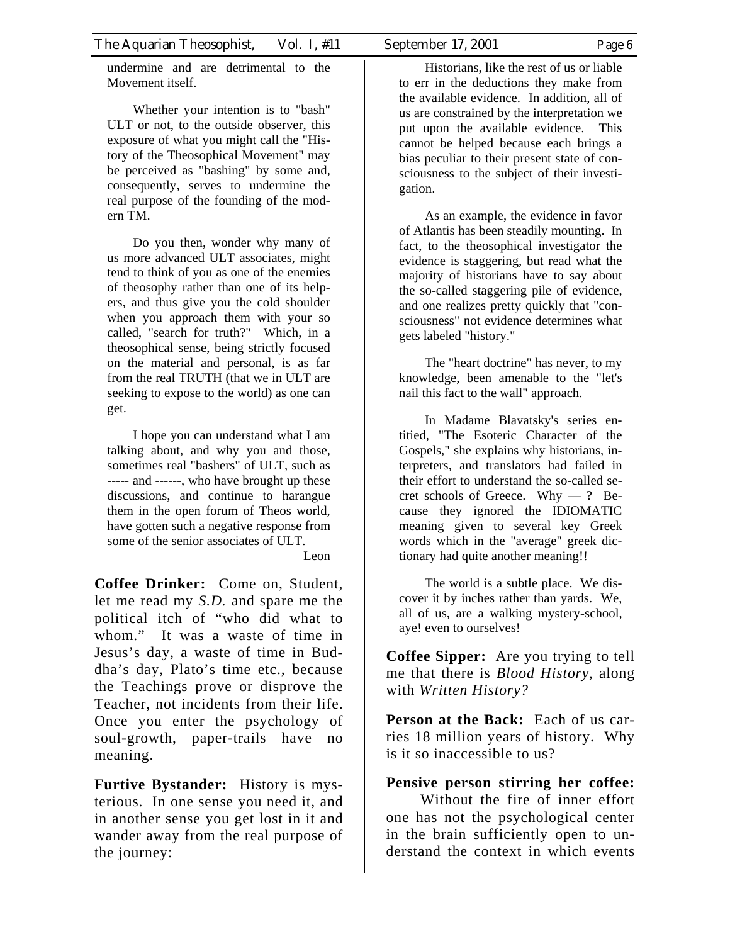undermine and are detrimental to the Movement itself.

Whether your intention is to "bash" ULT or not, to the outside observer, this exposure of what you might call the "History of the Theosophical Movement" may be perceived as "bashing" by some and, consequently, serves to undermine the real purpose of the founding of the modern TM.

Do you then, wonder why many of us more advanced ULT associates, might tend to think of you as one of the enemies of theosophy rather than one of its helpers, and thus give you the cold shoulder when you approach them with your so called, "search for truth?" Which, in a theosophical sense, being strictly focused on the material and personal, is as far from the real TRUTH (that we in ULT are seeking to expose to the world) as one can get.

I hope you can understand what I am talking about, and why you and those, sometimes real "bashers" of ULT, such as ----- and ------, who have brought up these discussions, and continue to harangue them in the open forum of Theos world, have gotten such a negative response from some of the senior associates of ULT.

#### Leon

**Coffee Drinker:** Come on, Student, let me read my *S.D.* and spare me the political itch of "who did what to whom." It was a waste of time in Jesus's day, a waste of time in Buddha's day, Plato's time etc., because the Teachings prove or disprove the Teacher, not incidents from their life. Once you enter the psychology of soul-growth, paper-trails have no meaning.

**Furtive Bystander:** History is mysterious. In one sense you need it, and in another sense you get lost in it and wander away from the real purpose of the journey:

Historians, like the rest of us or liable to err in the deductions they make from the available evidence. In addition, all of us are constrained by the interpretation we put upon the available evidence. This cannot be helped because each brings a bias peculiar to their present state of consciousness to the subject of their investigation.

As an example, the evidence in favor of Atlantis has been steadily mounting. In fact, to the theosophical investigator the evidence is staggering, but read what the majority of historians have to say about the so-called staggering pile of evidence, and one realizes pretty quickly that "consciousness" not evidence determines what gets labeled "history."

The "heart doctrine" has never, to my knowledge, been amenable to the "let's nail this fact to the wall" approach.

In Madame Blavatsky's series entitied, "The Esoteric Character of the Gospels," she explains why historians, interpreters, and translators had failed in their effort to understand the so-called secret schools of Greece. Why — ? Because they ignored the IDIOMATIC meaning given to several key Greek words which in the "average" greek dictionary had quite another meaning!!

The world is a subtle place. We discover it by inches rather than yards. We, all of us, are a walking mystery-school, aye! even to ourselves!

**Coffee Sipper:** Are you trying to tell me that there is *Blood History,* along with *Written History?*

**Person at the Back:** Each of us carries 18 million years of history. Why is it so inaccessible to us?

### **Pensive person stirring her coffee:**

Without the fire of inner effort one has not the psychological center in the brain sufficiently open to understand the context in which events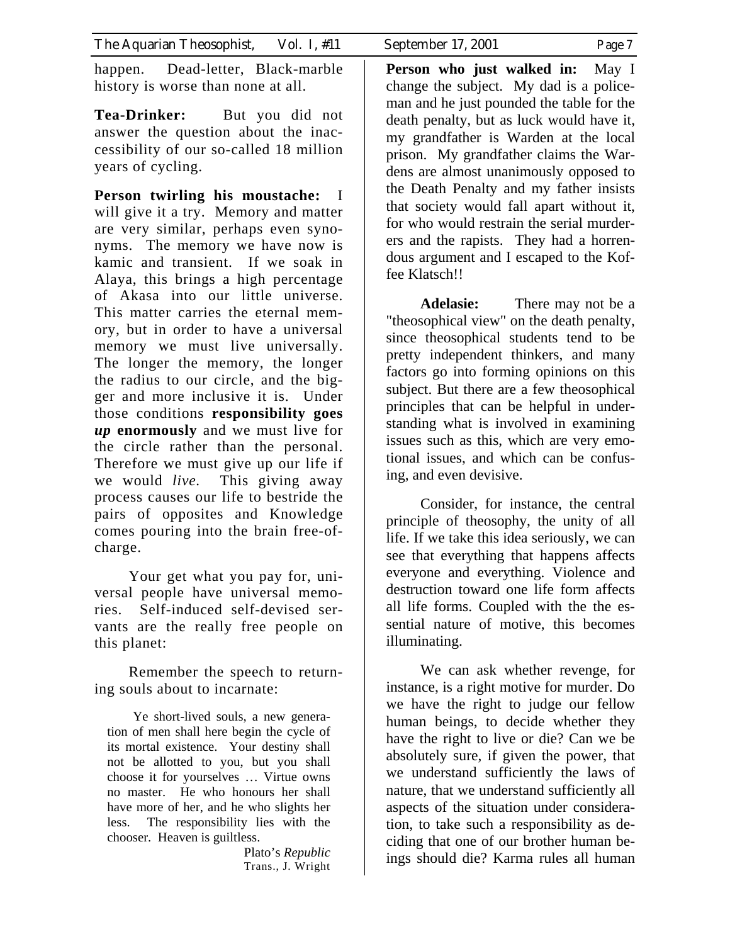happen. Dead-letter, Black-marble history is worse than none at all.

**Tea-Drinker:** But you did not answer the question about the inaccessibility of our so-called 18 million years of cycling.

**Person twirling his moustache:** I will give it a try. Memory and matter are very similar, perhaps even synonyms. The memory we have now is kamic and transient. If we soak in Alaya, this brings a high percentage of Akasa into our little universe. This matter carries the eternal memory, but in order to have a universal memory we must live universally. The longer the memory, the longer the radius to our circle, and the bigger and more inclusive it is. Under those conditions **responsibility goes**  *up* **enormously** and we must live for the circle rather than the personal. Therefore we must give up our life if we would *live.* This giving away process causes our life to bestride the pairs of opposites and Knowledge comes pouring into the brain free-ofcharge.

 Your get what you pay for, universal people have universal memories. Self-induced self-devised servants are the really free people on this planet:

 Remember the speech to returning souls about to incarnate:

Ye short-lived souls, a new generation of men shall here begin the cycle of its mortal existence. Your destiny shall not be allotted to you, but you shall choose it for yourselves … Virtue owns no master. He who honours her shall have more of her, and he who slights her less. The responsibility lies with the chooser. Heaven is guiltless.

> Plato's *Republic* Trans., J. Wright

**Person who just walked in:** May I change the subject. My dad is a policeman and he just pounded the table for the death penalty, but as luck would have it, my grandfather is Warden at the local prison. My grandfather claims the Wardens are almost unanimously opposed to the Death Penalty and my father insists that society would fall apart without it, for who would restrain the serial murderers and the rapists. They had a horrendous argument and I escaped to the Koffee Klatsch!!

**Adelasie:** There may not be a "theosophical view" on the death penalty, since theosophical students tend to be pretty independent thinkers, and many factors go into forming opinions on this subject. But there are a few theosophical principles that can be helpful in understanding what is involved in examining issues such as this, which are very emotional issues, and which can be confusing, and even devisive.

Consider, for instance, the central principle of theosophy, the unity of all life. If we take this idea seriously, we can see that everything that happens affects everyone and everything. Violence and destruction toward one life form affects all life forms. Coupled with the the essential nature of motive, this becomes illuminating.

We can ask whether revenge, for instance, is a right motive for murder. Do we have the right to judge our fellow human beings, to decide whether they have the right to live or die? Can we be absolutely sure, if given the power, that we understand sufficiently the laws of nature, that we understand sufficiently all aspects of the situation under consideration, to take such a responsibility as deciding that one of our brother human beings should die? Karma rules all human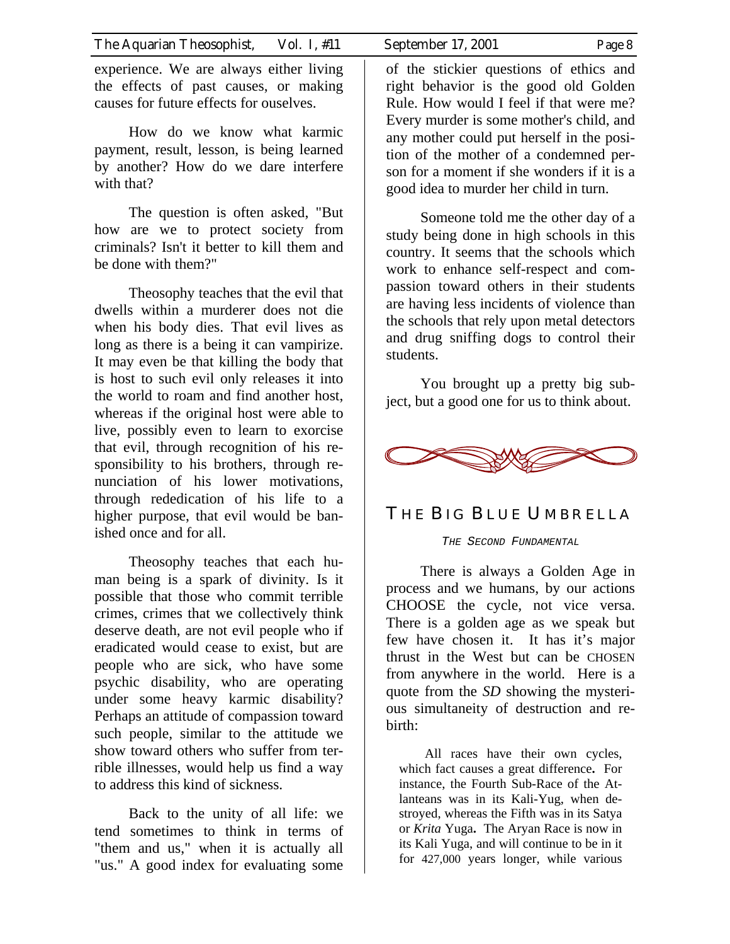experience. We are always either living the effects of past causes, or making causes for future effects for ouselves.

How do we know what karmic payment, result, lesson, is being learned by another? How do we dare interfere with that?

The question is often asked, "But how are we to protect society from criminals? Isn't it better to kill them and be done with them?"

Theosophy teaches that the evil that dwells within a murderer does not die when his body dies. That evil lives as long as there is a being it can vampirize. It may even be that killing the body that is host to such evil only releases it into the world to roam and find another host, whereas if the original host were able to live, possibly even to learn to exorcise that evil, through recognition of his responsibility to his brothers, through renunciation of his lower motivations, through rededication of his life to a higher purpose, that evil would be banished once and for all.

Theosophy teaches that each human being is a spark of divinity. Is it possible that those who commit terrible crimes, crimes that we collectively think deserve death, are not evil people who if eradicated would cease to exist, but are people who are sick, who have some psychic disability, who are operating under some heavy karmic disability? Perhaps an attitude of compassion toward such people, similar to the attitude we show toward others who suffer from terrible illnesses, would help us find a way to address this kind of sickness.

Back to the unity of all life: we tend sometimes to think in terms of "them and us," when it is actually all "us." A good index for evaluating some

of the stickier questions of ethics and right behavior is the good old Golden Rule. How would I feel if that were me? Every murder is some mother's child, and any mother could put herself in the position of the mother of a condemned person for a moment if she wonders if it is a good idea to murder her child in turn.

Someone told me the other day of a study being done in high schools in this country. It seems that the schools which work to enhance self-respect and compassion toward others in their students are having less incidents of violence than the schools that rely upon metal detectors and drug sniffing dogs to control their students.

You brought up a pretty big subject, but a good one for us to think about.



## THE BIG BLUE UMBRELLA

THE SECOND FUNDAMENTAL

There is always a Golden Age in process and we humans, by our actions CHOOSE the cycle, not vice versa. There is a golden age as we speak but few have chosen it. It has it's major thrust in the West but can be CHOSEN from anywhere in the world. Here is a quote from the *SD* showing the mysterious simultaneity of destruction and rebirth:

All races have their own cycles, which fact causes a great difference**.** For instance, the Fourth Sub-Race of the Atlanteans was in its Kali-Yug, when destroyed, whereas the Fifth was in its Satya or *Krita* Yuga**.** The Aryan Race is now in its Kali Yuga, and will continue to be in it for 427,000 years longer, while various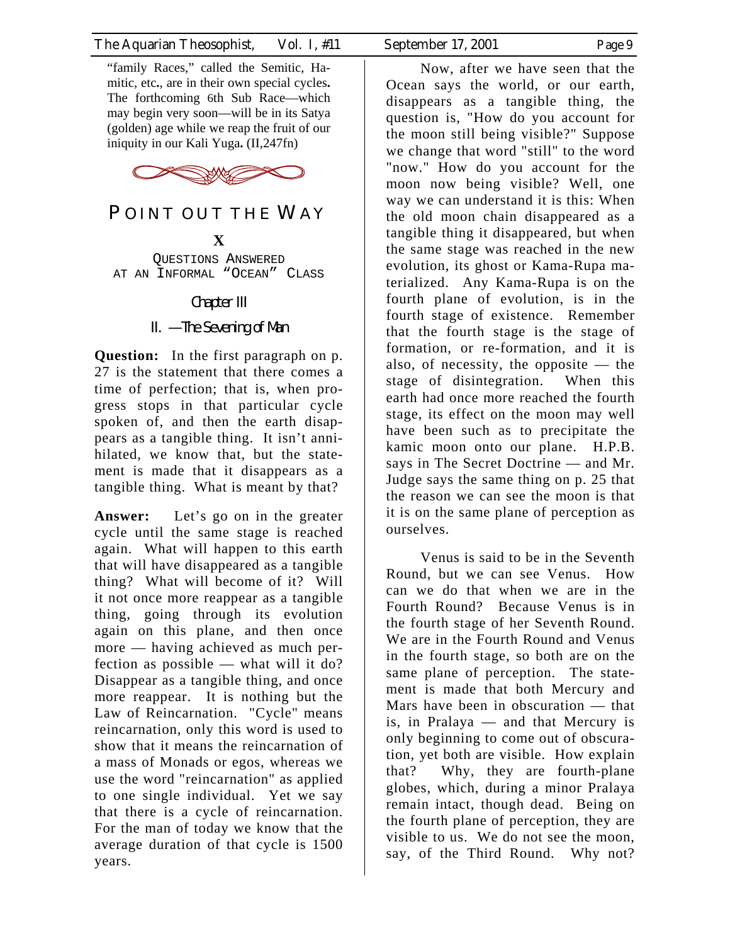

# POINT OUT THE WAY

**X** 

QUESTIONS ANSWERED AT AN INFORMAL "OCEAN" CLASS

Chapter III

II. — The Sevening of Man

**Question:** In the first paragraph on p. 27 is the statement that there comes a time of perfection; that is, when progress stops in that particular cycle spoken of, and then the earth disappears as a tangible thing. It isn't annihilated, we know that, but the statement is made that it disappears as a tangible thing. What is meant by that?

**Answer:** Let's go on in the greater cycle until the same stage is reached again. What will happen to this earth that will have disappeared as a tangible thing? What will become of it? Will it not once more reappear as a tangible thing, going through its evolution again on this plane, and then once more — having achieved as much perfection as possible — what will it do? Disappear as a tangible thing, and once more reappear. It is nothing but the Law of Reincarnation. "Cycle" means reincarnation, only this word is used to show that it means the reincarnation of a mass of Monads or egos, whereas we use the word "reincarnation" as applied to one single individual. Yet we say that there is a cycle of reincarnation. For the man of today we know that the average duration of that cycle is 1500 years.

Now, after we have seen that the Ocean says the world, or our earth, disappears as a tangible thing, the question is, "How do you account for the moon still being visible?" Suppose we change that word "still" to the word "now." How do you account for the moon now being visible? Well, one way we can understand it is this: When the old moon chain disappeared as a tangible thing it disappeared, but when the same stage was reached in the new evolution, its ghost or Kama-Rupa materialized. Any Kama-Rupa is on the fourth plane of evolution, is in the fourth stage of existence. Remember that the fourth stage is the stage of formation, or re-formation, and it is also, of necessity, the opposite — the stage of disintegration. When this earth had once more reached the fourth stage, its effect on the moon may well have been such as to precipitate the kamic moon onto our plane. H.P.B. says in The Secret Doctrine — and Mr. Judge says the same thing on p. 25 that the reason we can see the moon is that it is on the same plane of perception as ourselves.

Venus is said to be in the Seventh Round, but we can see Venus. How can we do that when we are in the Fourth Round? Because Venus is in the fourth stage of her Seventh Round. We are in the Fourth Round and Venus in the fourth stage, so both are on the same plane of perception. The statement is made that both Mercury and Mars have been in obscuration — that is, in Pralaya — and that Mercury is only beginning to come out of obscuration, yet both are visible. How explain that? Why, they are fourth-plane globes, which, during a minor Pralaya remain intact, though dead. Being on the fourth plane of perception, they are visible to us. We do not see the moon, say, of the Third Round. Why not?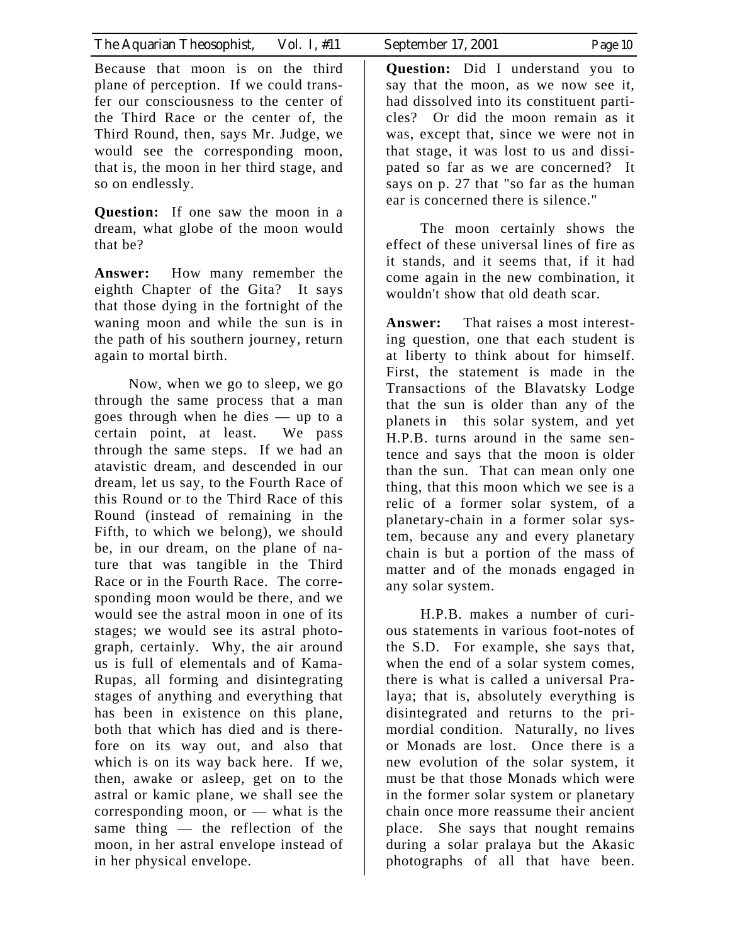| The Aquarian Theosophist, | Vol. 1, #11 | September 17, 2001 | Page 10 |
|---------------------------|-------------|--------------------|---------|
|                           |             |                    |         |

Because that moon is on the third plane of perception. If we could transfer our consciousness to the center of the Third Race or the center of, the Third Round, then, says Mr. Judge, we would see the corresponding moon, that is, the moon in her third stage, and so on endlessly.

**Question:** If one saw the moon in a dream, what globe of the moon would that be?

**Answer:** How many remember the eighth Chapter of the Gita? It says that those dying in the fortnight of the waning moon and while the sun is in the path of his southern journey, return again to mortal birth.

 Now, when we go to sleep, we go through the same process that a man goes through when he dies — up to a certain point, at least. We pass through the same steps. If we had an atavistic dream, and descended in our dream, let us say, to the Fourth Race of this Round or to the Third Race of this Round (instead of remaining in the Fifth, to which we belong), we should be, in our dream, on the plane of nature that was tangible in the Third Race or in the Fourth Race. The corresponding moon would be there, and we would see the astral moon in one of its stages; we would see its astral photograph, certainly. Why, the air around us is full of elementals and of Kama-Rupas, all forming and disintegrating stages of anything and everything that has been in existence on this plane, both that which has died and is therefore on its way out, and also that which is on its way back here. If we, then, awake or asleep, get on to the astral or kamic plane, we shall see the corresponding moon, or — what is the same thing  $-$  the reflection of the moon, in her astral envelope instead of in her physical envelope.

**Question:** Did I understand you to say that the moon, as we now see it, had dissolved into its constituent particles? Or did the moon remain as it was, except that, since we were not in that stage, it was lost to us and dissipated so far as we are concerned? It says on p. 27 that "so far as the human ear is concerned there is silence."

 The moon certainly shows the effect of these universal lines of fire as it stands, and it seems that, if it had come again in the new combination, it wouldn't show that old death scar.

**Answer:** That raises a most interesting question, one that each student is at liberty to think about for himself. First, the statement is made in the Transactions of the Blavatsky Lodge that the sun is older than any of the planets in this solar system, and yet H.P.B. turns around in the same sentence and says that the moon is older than the sun. That can mean only one thing, that this moon which we see is a relic of a former solar system, of a planetary-chain in a former solar system, because any and every planetary chain is but a portion of the mass of matter and of the monads engaged in any solar system.

 H.P.B. makes a number of curious statements in various foot-notes of the S.D. For example, she says that, when the end of a solar system comes, there is what is called a universal Pralaya; that is, absolutely everything is disintegrated and returns to the primordial condition. Naturally, no lives or Monads are lost. Once there is a new evolution of the solar system, it must be that those Monads which were in the former solar system or planetary chain once more reassume their ancient place. She says that nought remains during a solar pralaya but the Akasic photographs of all that have been.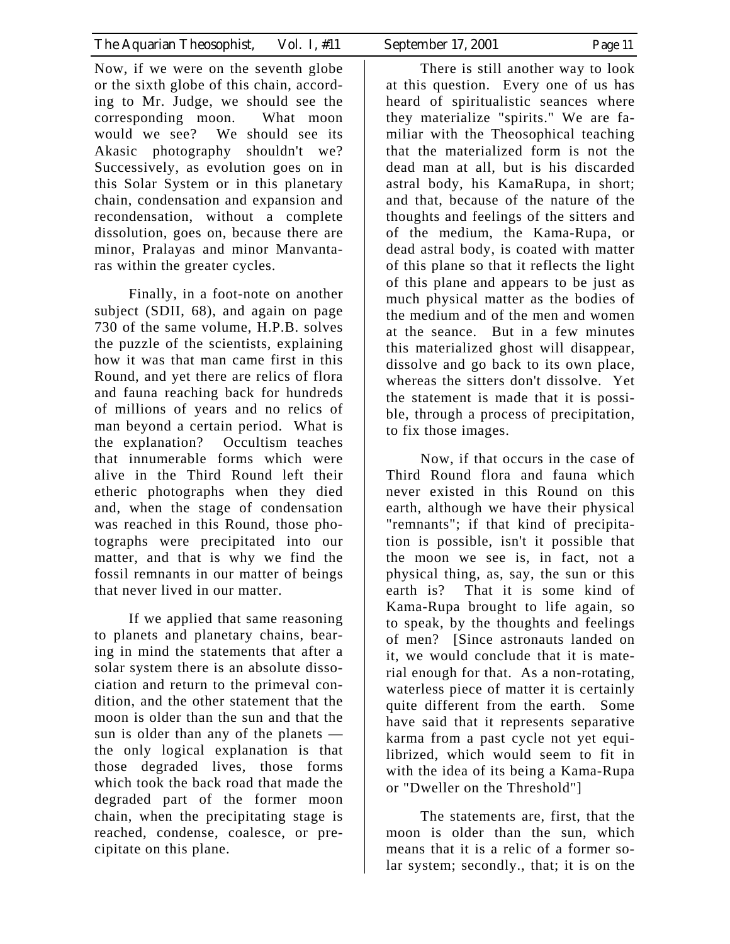Now, if we were on the seventh globe or the sixth globe of this chain, according to Mr. Judge, we should see the corresponding moon. What moon would we see? We should see its Akasic photography shouldn't we? Successively, as evolution goes on in this Solar System or in this planetary chain, condensation and expansion and recondensation, without a complete dissolution, goes on, because there are minor, Pralayas and minor Manvantaras within the greater cycles.

 Finally, in a foot-note on another subject (SDII, 68), and again on page 730 of the same volume, H.P.B. solves the puzzle of the scientists, explaining how it was that man came first in this Round, and yet there are relics of flora and fauna reaching back for hundreds of millions of years and no relics of man beyond a certain period. What is the explanation? Occultism teaches that innumerable forms which were alive in the Third Round left their etheric photographs when they died and, when the stage of condensation was reached in this Round, those photographs were precipitated into our matter, and that is why we find the fossil remnants in our matter of beings that never lived in our matter.

 If we applied that same reasoning to planets and planetary chains, bearing in mind the statements that after a solar system there is an absolute dissociation and return to the primeval condition, and the other statement that the moon is older than the sun and that the sun is older than any of the planets the only logical explanation is that those degraded lives, those forms which took the back road that made the degraded part of the former moon chain, when the precipitating stage is reached, condense, coalesce, or precipitate on this plane.

 There is still another way to look at this question. Every one of us has heard of spiritualistic seances where they materialize "spirits." We are familiar with the Theosophical teaching that the materialized form is not the dead man at all, but is his discarded astral body, his KamaRupa, in short; and that, because of the nature of the thoughts and feelings of the sitters and of the medium, the Kama-Rupa, or dead astral body, is coated with matter of this plane so that it reflects the light of this plane and appears to be just as much physical matter as the bodies of the medium and of the men and women at the seance. But in a few minutes this materialized ghost will disappear, dissolve and go back to its own place, whereas the sitters don't dissolve. Yet the statement is made that it is possible, through a process of precipitation, to fix those images.

 Now, if that occurs in the case of Third Round flora and fauna which never existed in this Round on this earth, although we have their physical "remnants"; if that kind of precipitation is possible, isn't it possible that the moon we see is, in fact, not a physical thing, as, say, the sun or this earth is? That it is some kind of Kama-Rupa brought to life again, so to speak, by the thoughts and feelings of men? [Since astronauts landed on it, we would conclude that it is material enough for that. As a non-rotating, waterless piece of matter it is certainly quite different from the earth. Some have said that it represents separative karma from a past cycle not yet equilibrized, which would seem to fit in with the idea of its being a Kama-Rupa or "Dweller on the Threshold"]

 The statements are, first, that the moon is older than the sun, which means that it is a relic of a former solar system; secondly., that; it is on the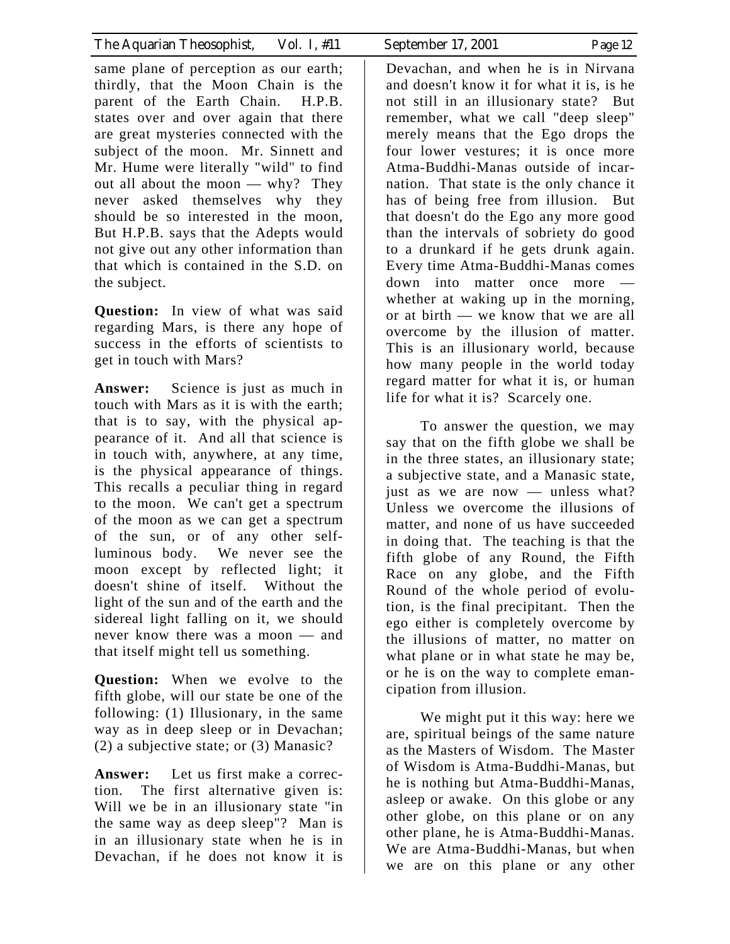| The Aquarian Theosophist, Vol. 1, #11 | September 17, 2001 | Page 12 |
|---------------------------------------|--------------------|---------|

same plane of perception as our earth; thirdly, that the Moon Chain is the parent of the Earth Chain. H.P.B. states over and over again that there are great mysteries connected with the subject of the moon. Mr. Sinnett and Mr. Hume were literally "wild" to find out all about the moon — why? They never asked themselves why they should be so interested in the moon, But H.P.B. says that the Adepts would not give out any other information than that which is contained in the S.D. on the subject.

**Question:** In view of what was said regarding Mars, is there any hope of success in the efforts of scientists to get in touch with Mars?

**Answer:** Science is just as much in touch with Mars as it is with the earth; that is to say, with the physical appearance of it. And all that science is in touch with, anywhere, at any time, is the physical appearance of things. This recalls a peculiar thing in regard to the moon. We can't get a spectrum of the moon as we can get a spectrum of the sun, or of any other selfluminous body. We never see the moon except by reflected light; it doesn't shine of itself. Without the light of the sun and of the earth and the sidereal light falling on it, we should never know there was a moon — and that itself might tell us something.

**Question:** When we evolve to the fifth globe, will our state be one of the following: (1) Illusionary, in the same way as in deep sleep or in Devachan; (2) a subjective state; or (3) Manasic?

**Answer:** Let us first make a correction. The first alternative given is: Will we be in an illusionary state "in the same way as deep sleep"? Man is in an illusionary state when he is in Devachan, if he does not know it is

Devachan, and when he is in Nirvana and doesn't know it for what it is, is he not still in an illusionary state? But remember, what we call "deep sleep" merely means that the Ego drops the four lower vestures; it is once more Atma-Buddhi-Manas outside of incarnation. That state is the only chance it has of being free from illusion. But that doesn't do the Ego any more good than the intervals of sobriety do good to a drunkard if he gets drunk again. Every time Atma-Buddhi-Manas comes down into matter once more whether at waking up in the morning, or at birth — we know that we are all overcome by the illusion of matter. This is an illusionary world, because how many people in the world today regard matter for what it is, or human life for what it is? Scarcely one.

 To answer the question, we may say that on the fifth globe we shall be in the three states, an illusionary state; a subjective state, and a Manasic state, just as we are now — unless what? Unless we overcome the illusions of matter, and none of us have succeeded in doing that. The teaching is that the fifth globe of any Round, the Fifth Race on any globe, and the Fifth Round of the whole period of evolution, is the final precipitant. Then the ego either is completely overcome by the illusions of matter, no matter on what plane or in what state he may be, or he is on the way to complete emancipation from illusion.

 We might put it this way: here we are, spiritual beings of the same nature as the Masters of Wisdom. The Master of Wisdom is Atma-Buddhi-Manas, but he is nothing but Atma-Buddhi-Manas, asleep or awake. On this globe or any other globe, on this plane or on any other plane, he is Atma-Buddhi-Manas. We are Atma-Buddhi-Manas, but when we are on this plane or any other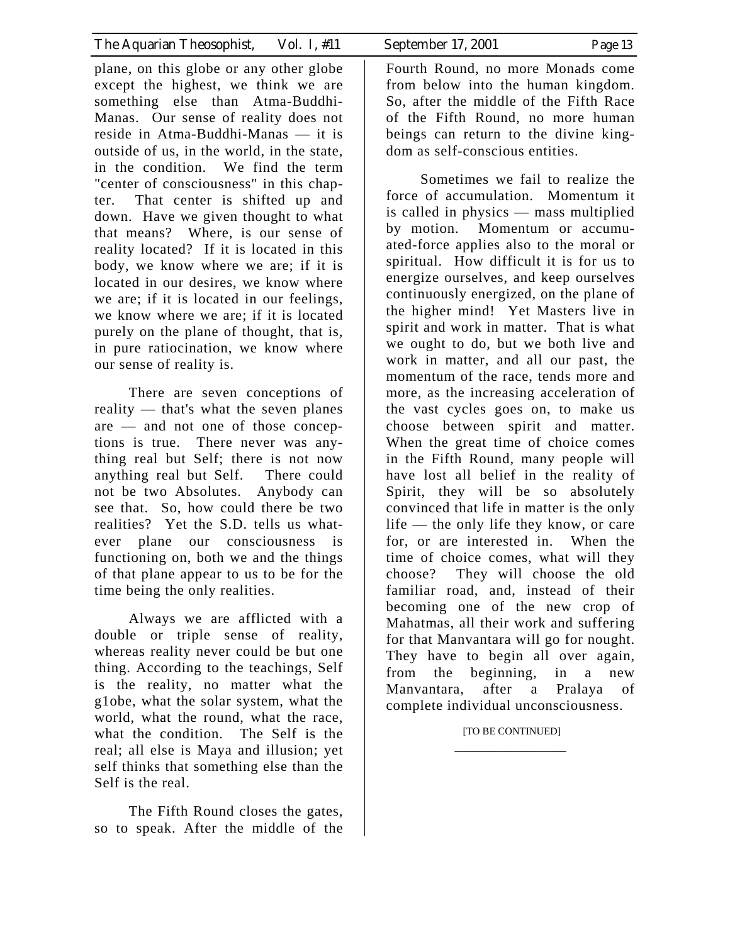plane, on this globe or any other globe except the highest, we think we are something else than Atma-Buddhi-Manas. Our sense of reality does not reside in Atma-Buddhi-Manas — it is outside of us, in the world, in the state, in the condition. We find the term "center of consciousness" in this chapter. That center is shifted up and down. Have we given thought to what that means? Where, is our sense of reality located? If it is located in this body, we know where we are; if it is located in our desires, we know where we are; if it is located in our feelings, we know where we are; if it is located purely on the plane of thought, that is, in pure ratiocination, we know where our sense of reality is.

 There are seven conceptions of reality — that's what the seven planes are — and not one of those conceptions is true. There never was anything real but Self; there is not now anything real but Self. There could not be two Absolutes. Anybody can see that. So, how could there be two realities? Yet the S.D. tells us whatever plane our consciousness is functioning on, both we and the things of that plane appear to us to be for the time being the only realities.

 Always we are afflicted with a double or triple sense of reality, whereas reality never could be but one thing. According to the teachings, Self is the reality, no matter what the g1obe, what the solar system, what the world, what the round, what the race, what the condition. The Self is the real; all else is Maya and illusion; yet self thinks that something else than the Self is the real.

 The Fifth Round closes the gates, so to speak. After the middle of the

Fourth Round, no more Monads come from below into the human kingdom. So, after the middle of the Fifth Race of the Fifth Round, no more human beings can return to the divine kingdom as self-conscious entities.

 Sometimes we fail to realize the force of accumulation. Momentum it is called in physics — mass multiplied by motion. Momentum or accumuated-force applies also to the moral or spiritual. How difficult it is for us to energize ourselves, and keep ourselves continuously energized, on the plane of the higher mind! Yet Masters live in spirit and work in matter. That is what we ought to do, but we both live and work in matter, and all our past, the momentum of the race, tends more and more, as the increasing acceleration of the vast cycles goes on, to make us choose between spirit and matter. When the great time of choice comes in the Fifth Round, many people will have lost all belief in the reality of Spirit, they will be so absolutely convinced that life in matter is the only life — the only life they know, or care for, or are interested in. When the time of choice comes, what will they choose? They will choose the old familiar road, and, instead of their becoming one of the new crop of Mahatmas, all their work and suffering for that Manvantara will go for nought. They have to begin all over again, from the beginning, in a new Manvantara, after a Pralaya of complete individual unconsciousness.

### [TO BE CONTINUED] \_\_\_\_\_\_\_\_\_\_\_\_\_\_\_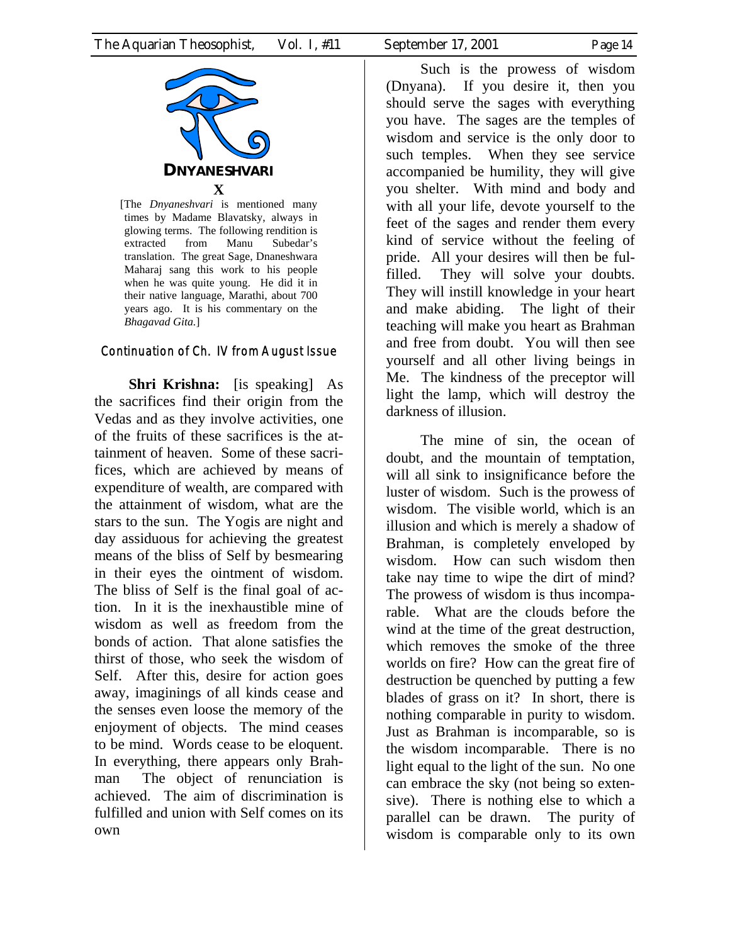

[The *Dnyaneshvari* is mentioned many times by Madame Blavatsky, always in glowing terms. The following rendition is extracted from Manu Subedar's translation. The great Sage, Dnaneshwara Maharaj sang this work to his people when he was quite young. He did it in their native language, Marathi, about 700 years ago. It is his commentary on the *Bhagavad Gita.*]

## Continuation of Ch. IV from August Issue

**Shri Krishna:** [is speaking] As the sacrifices find their origin from the Vedas and as they involve activities, one of the fruits of these sacrifices is the attainment of heaven. Some of these sacrifices, which are achieved by means of expenditure of wealth, are compared with the attainment of wisdom, what are the stars to the sun. The Yogis are night and day assiduous for achieving the greatest means of the bliss of Self by besmearing in their eyes the ointment of wisdom. The bliss of Self is the final goal of action. In it is the inexhaustible mine of wisdom as well as freedom from the bonds of action. That alone satisfies the thirst of those, who seek the wisdom of Self. After this, desire for action goes away, imaginings of all kinds cease and the senses even loose the memory of the enjoyment of objects. The mind ceases to be mind. Words cease to be eloquent. In everything, there appears only Brahman The object of renunciation is achieved. The aim of discrimination is fulfilled and union with Self comes on its own

Such is the prowess of wisdom (Dnyana). If you desire it, then you should serve the sages with everything you have. The sages are the temples of wisdom and service is the only door to such temples. When they see service accompanied be humility, they will give you shelter. With mind and body and with all your life, devote yourself to the feet of the sages and render them every kind of service without the feeling of pride. All your desires will then be fulfilled. They will solve your doubts. They will instill knowledge in your heart and make abiding. The light of their teaching will make you heart as Brahman and free from doubt. You will then see yourself and all other living beings in Me. The kindness of the preceptor will light the lamp, which will destroy the darkness of illusion.

The mine of sin, the ocean of doubt, and the mountain of temptation, will all sink to insignificance before the luster of wisdom. Such is the prowess of wisdom. The visible world, which is an illusion and which is merely a shadow of Brahman, is completely enveloped by wisdom. How can such wisdom then take nay time to wipe the dirt of mind? The prowess of wisdom is thus incomparable. What are the clouds before the wind at the time of the great destruction, which removes the smoke of the three worlds on fire? How can the great fire of destruction be quenched by putting a few blades of grass on it? In short, there is nothing comparable in purity to wisdom. Just as Brahman is incomparable, so is the wisdom incomparable. There is no light equal to the light of the sun. No one can embrace the sky (not being so extensive). There is nothing else to which a parallel can be drawn. The purity of wisdom is comparable only to its own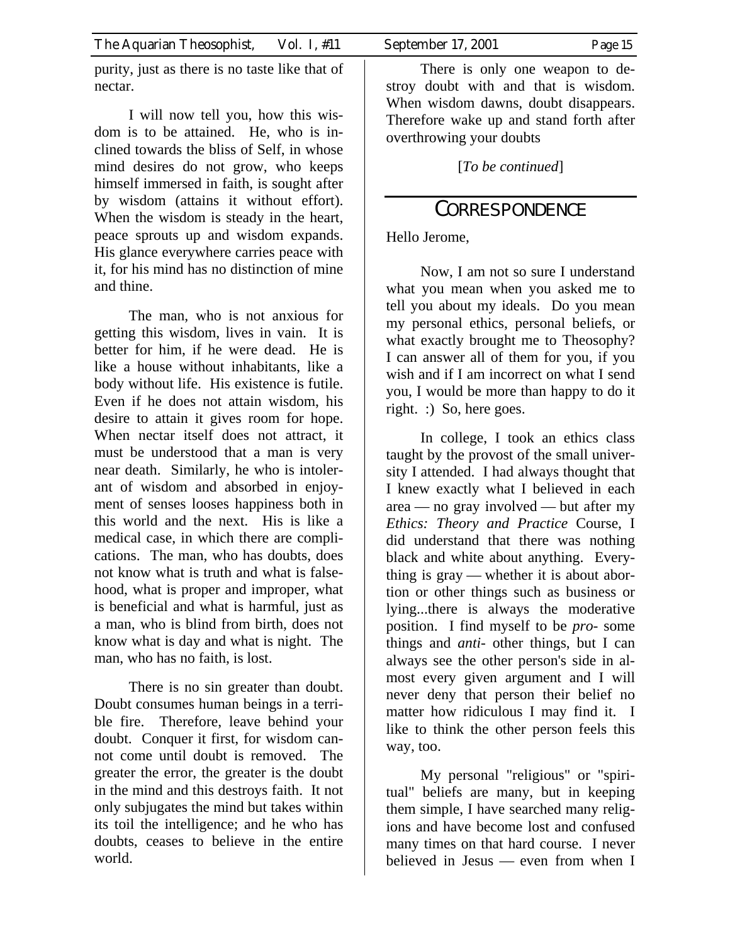purity, just as there is no taste like that of nectar.

I will now tell you, how this wisdom is to be attained. He, who is inclined towards the bliss of Self, in whose mind desires do not grow, who keeps himself immersed in faith, is sought after by wisdom (attains it without effort). When the wisdom is steady in the heart, peace sprouts up and wisdom expands. His glance everywhere carries peace with it, for his mind has no distinction of mine and thine.

The man, who is not anxious for getting this wisdom, lives in vain. It is better for him, if he were dead. He is like a house without inhabitants, like a body without life. His existence is futile. Even if he does not attain wisdom, his desire to attain it gives room for hope. When nectar itself does not attract, it must be understood that a man is very near death. Similarly, he who is intolerant of wisdom and absorbed in enjoyment of senses looses happiness both in this world and the next. His is like a medical case, in which there are complications. The man, who has doubts, does not know what is truth and what is falsehood, what is proper and improper, what is beneficial and what is harmful, just as a man, who is blind from birth, does not know what is day and what is night. The man, who has no faith, is lost.

There is no sin greater than doubt. Doubt consumes human beings in a terrible fire. Therefore, leave behind your doubt. Conquer it first, for wisdom cannot come until doubt is removed. The greater the error, the greater is the doubt in the mind and this destroys faith. It not only subjugates the mind but takes within its toil the intelligence; and he who has doubts, ceases to believe in the entire world.

There is only one weapon to destroy doubt with and that is wisdom. When wisdom dawns, doubt disappears. Therefore wake up and stand forth after overthrowing your doubts

[*To be continued*]

## CORRESPONDENCE

Hello Jerome,

Now, I am not so sure I understand what you mean when you asked me to tell you about my ideals. Do you mean my personal ethics, personal beliefs, or what exactly brought me to Theosophy? I can answer all of them for you, if you wish and if I am incorrect on what I send you, I would be more than happy to do it right. :) So, here goes.

In college, I took an ethics class taught by the provost of the small university I attended. I had always thought that I knew exactly what I believed in each area — no gray involved — but after my *Ethics: Theory and Practice* Course, I did understand that there was nothing black and white about anything. Everything is gray — whether it is about abortion or other things such as business or lying...there is always the moderative position. I find myself to be *pro-* some things and *anti-* other things, but I can always see the other person's side in almost every given argument and I will never deny that person their belief no matter how ridiculous I may find it. I like to think the other person feels this way, too.

My personal "religious" or "spiritual" beliefs are many, but in keeping them simple, I have searched many religions and have become lost and confused many times on that hard course. I never believed in Jesus — even from when I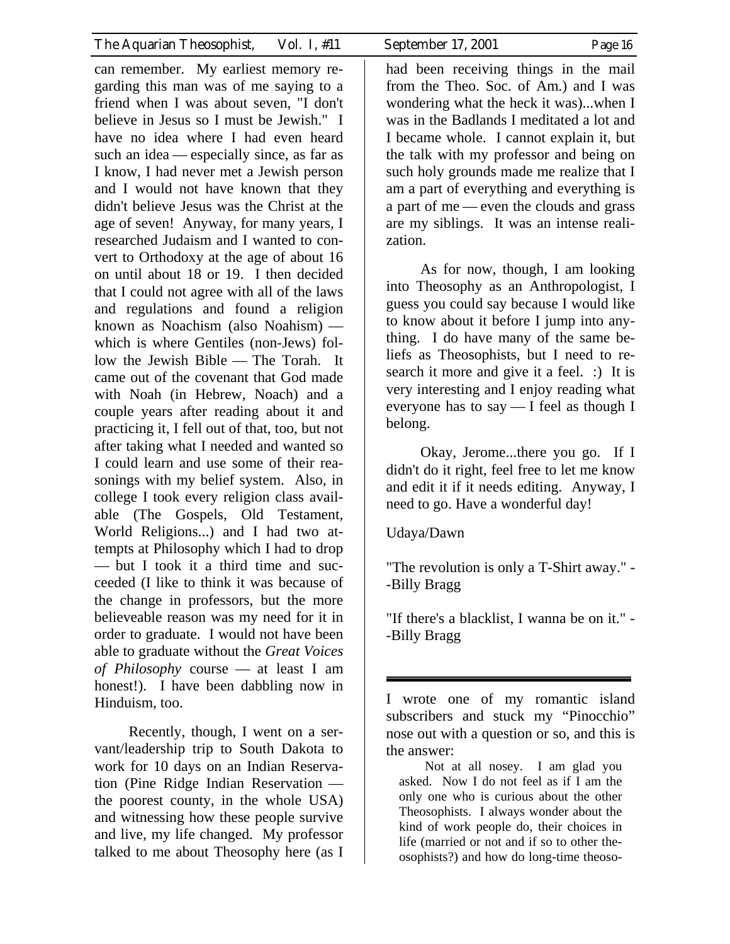| The Aquarian Theosophist,<br>Vol. 1, #11                                                                                                                                                                                                                                                                                                                                                                                                                                          | September 17, 2001<br>Page 16                                                                                                                                                                                                                                                                                                                                                                                                                            |
|-----------------------------------------------------------------------------------------------------------------------------------------------------------------------------------------------------------------------------------------------------------------------------------------------------------------------------------------------------------------------------------------------------------------------------------------------------------------------------------|----------------------------------------------------------------------------------------------------------------------------------------------------------------------------------------------------------------------------------------------------------------------------------------------------------------------------------------------------------------------------------------------------------------------------------------------------------|
| can remember. My earliest memory re-<br>garding this man was of me saying to a<br>friend when I was about seven, "I don't<br>believe in Jesus so I must be Jewish." I<br>have no idea where I had even heard<br>such an idea — especially since, as far as<br>I know, I had never met a Jewish person<br>and I would not have known that they<br>didn't believe Jesus was the Christ at the<br>age of seven! Anyway, for many years, I<br>researched Judaism and I wanted to con- | had been receiving things in the mail<br>from the Theo. Soc. of Am.) and I was<br>wondering what the heck it was)when I<br>was in the Badlands I meditated a lot and<br>I became whole. I cannot explain it, but<br>the talk with my professor and being on<br>such holy grounds made me realize that I<br>am a part of everything and everything is<br>a part of me — even the clouds and grass<br>are my siblings. It was an intense reali-<br>zation. |
| vert to Orthodoxy at the age of about 16<br>on until about 18 or 19. I then decided<br>that I could not agree with all of the laws<br>and regulations and found a religion<br>known as Noachism (also Noahism) —<br>which is where Gentiles (non-Jews) fol-<br>low the Jewish Bible — The Torah. It<br>came out of the covenant that God made<br>with Noah (in Hebrew, Noach) and a<br>couple years after reading about it and<br>practicing it, I fell out of that, too, but not | As for now, though, I am looking<br>into Theosophy as an Anthropologist, I<br>guess you could say because I would like<br>to know about it before I jump into any-<br>thing. I do have many of the same be-<br>liefs as Theosophists, but I need to re-<br>search it more and give it a feel. :) It is<br>very interesting and I enjoy reading what<br>everyone has to say - I feel as though I<br>belong.                                               |
| after taking what I needed and wanted so<br>I could learn and use some of their rea-<br>sonings with my belief system. Also, in<br>college I took every religion class avail-<br>able (The Gospels, Old Testament,<br>World Religions) and I had two at-<br>tempts at Philosophy which I had to drop                                                                                                                                                                              | Okay, Jeromethere you go. If I<br>didn't do it right, feel free to let me know<br>and edit it if it needs editing. Anyway, I<br>need to go. Have a wonderful day!<br>Udaya/Dawn                                                                                                                                                                                                                                                                          |
| - but I took it a third time and suc-<br>ceeded (I like to think it was because of                                                                                                                                                                                                                                                                                                                                                                                                | "The revolution is only a T-Shirt away." -<br>-Billy Bragg                                                                                                                                                                                                                                                                                                                                                                                               |
| the change in professors, but the more<br>believeable reason was my need for it in<br>order to graduate. I would not have been<br>able to graduate without the <i>Great Voices</i><br>of Philosophy course - at least I am                                                                                                                                                                                                                                                        | "If there's a blacklist, I wanna be on it." -<br>-Billy Bragg                                                                                                                                                                                                                                                                                                                                                                                            |
| honest!). I have been dabbling now in                                                                                                                                                                                                                                                                                                                                                                                                                                             |                                                                                                                                                                                                                                                                                                                                                                                                                                                          |

Recently, though, I went on a servant/leadership trip to South Dakota to work for 10 days on an Indian Reservation (Pine Ridge Indian Reservation the poorest county, in the whole USA) and witnessing how these people survive and live, my life changed. My professor talked to me about Theosophy here (as I

Hinduism, too.

I wrote one of my romantic island subscribers and stuck my "Pinocchio" nose out with a question or so, and this is the answer:

Not at all nosey. I am glad you asked. Now I do not feel as if I am the only one who is curious about the other Theosophists. I always wonder about the kind of work people do, their choices in life (married or not and if so to other theosophists?) and how do long-time theoso-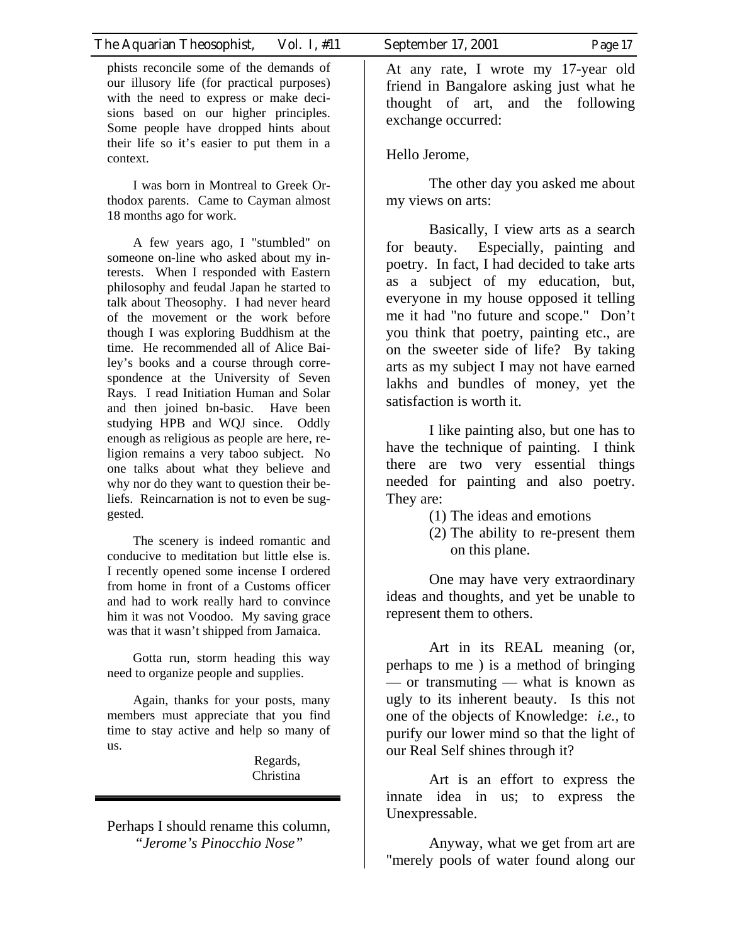phists reconcile some of the demands of our illusory life (for practical purposes) with the need to express or make decisions based on our higher principles. Some people have dropped hints about their life so it's easier to put them in a context.

I was born in Montreal to Greek Orthodox parents. Came to Cayman almost 18 months ago for work.

A few years ago, I "stumbled" on someone on-line who asked about my interests. When I responded with Eastern philosophy and feudal Japan he started to talk about Theosophy. I had never heard of the movement or the work before though I was exploring Buddhism at the time. He recommended all of Alice Bailey's books and a course through correspondence at the University of Seven Rays. I read Initiation Human and Solar and then joined bn-basic. Have been studying HPB and WQJ since. Oddly enough as religious as people are here, religion remains a very taboo subject. No one talks about what they believe and why nor do they want to question their beliefs. Reincarnation is not to even be suggested.

The scenery is indeed romantic and conducive to meditation but little else is. I recently opened some incense I ordered from home in front of a Customs officer and had to work really hard to convince him it was not Voodoo. My saving grace was that it wasn't shipped from Jamaica.

Gotta run, storm heading this way need to organize people and supplies.

Again, thanks for your posts, many members must appreciate that you find time to stay active and help so many of us.

> Regards, Christina

Perhaps I should rename this column, *"Jerome's Pinocchio Nose"*

At any rate, I wrote my 17-year old friend in Bangalore asking just what he thought of art, and the following

Hello Jerome,

exchange occurred:

The other day you asked me about my views on arts:

Basically, I view arts as a search for beauty. Especially, painting and poetry. In fact, I had decided to take arts as a subject of my education, but, everyone in my house opposed it telling me it had "no future and scope." Don't you think that poetry, painting etc., are on the sweeter side of life? By taking arts as my subject I may not have earned lakhs and bundles of money, yet the satisfaction is worth it.

I like painting also, but one has to have the technique of painting. I think there are two very essential things needed for painting and also poetry. They are:

- (1) The ideas and emotions
- (2) The ability to re-present them on this plane.

One may have very extraordinary ideas and thoughts, and yet be unable to represent them to others.

Art in its REAL meaning (or, perhaps to me ) is a method of bringing — or transmuting — what is known as ugly to its inherent beauty. Is this not one of the objects of Knowledge: *i.e.,* to purify our lower mind so that the light of our Real Self shines through it?

Art is an effort to express the innate idea in us; to express the Unexpressable.

Anyway, what we get from art are "merely pools of water found along our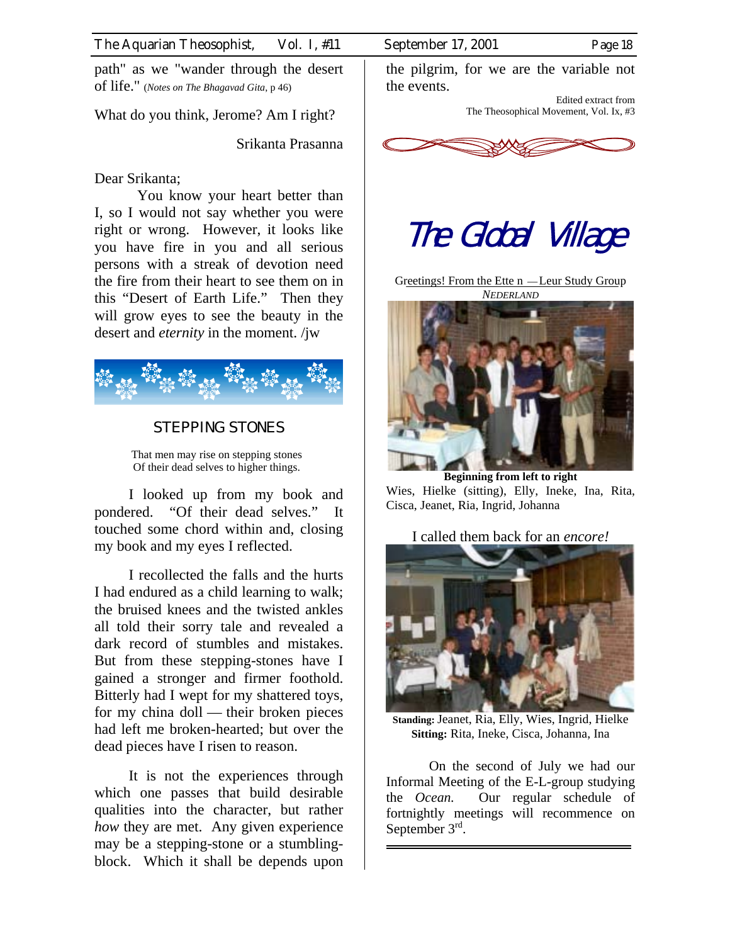path" as we "wander through the desert of life." (*Notes on The Bhagavad Gita*, p 46)

What do you think, Jerome? Am I right?

Srikanta Prasanna

#### Dear Srikanta;

You know your heart better than I, so I would not say whether you were right or wrong. However, it looks like you have fire in you and all serious persons with a streak of devotion need the fire from their heart to see them on in this "Desert of Earth Life." Then they will grow eyes to see the beauty in the desert and *eternity* in the moment. /jw



## STEPPING STONES

That men may rise on stepping stones Of their dead selves to higher things.

I looked up from my book and pondered. "Of their dead selves." It touched some chord within and, closing my book and my eyes I reflected.

I recollected the falls and the hurts I had endured as a child learning to walk; the bruised knees and the twisted ankles all told their sorry tale and revealed a dark record of stumbles and mistakes. But from these stepping-stones have I gained a stronger and firmer foothold. Bitterly had I wept for my shattered toys, for my china doll — their broken pieces had left me broken-hearted; but over the dead pieces have I risen to reason.

It is not the experiences through which one passes that build desirable qualities into the character, but rather *how* they are met. Any given experience may be a stepping-stone or a stumblingblock. Which it shall be depends upon the pilgrim, for we are the variable not the events.

> Edited extract from The Theosophical Movement, Vol. Ix, #3



# The Global Village

Greetings! From the Ette n —Leur Study Group *NEDERLAND*



**Beginning from left to right**  Wies, Hielke (sitting), Elly, Ineke, Ina, Rita, Cisca, Jeanet, Ria, Ingrid, Johanna

I called them back for an *encore!* 



**Standing:** Jeanet, Ria, Elly, Wies, Ingrid, Hielke **Sitting:** Rita, Ineke, Cisca, Johanna, Ina

On the second of July we had our Informal Meeting of the E-L-group studying the *Ocean.* Our regular schedule of fortnightly meetings will recommence on September 3<sup>rd</sup>.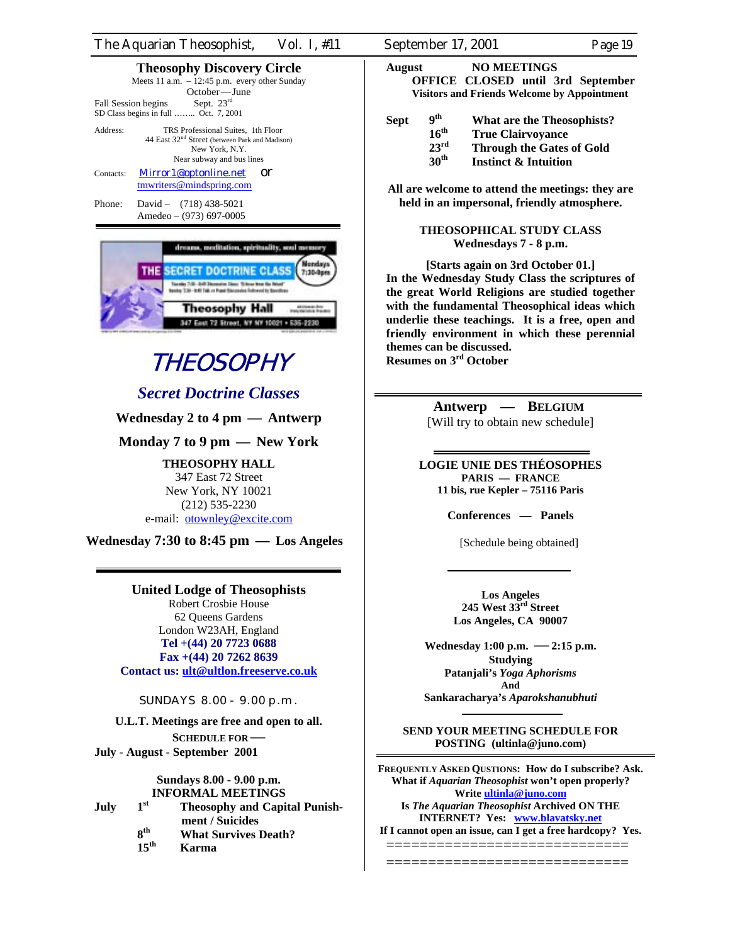| The Aquarian Theosophist, | Vol. 1, #11 | September 17, 2001 | Page 19 |
|---------------------------|-------------|--------------------|---------|
|                           |             |                    |         |

#### **Theosophy Discovery Circle**

|                                       |              | Meets 11 a.m. $-12:45$ p.m. every other Sunday |
|---------------------------------------|--------------|------------------------------------------------|
|                                       | October—June |                                                |
| Fall Session begins                   | Sept. $23rd$ |                                                |
| SD Class begins in full  Oct. 7, 2001 |              |                                                |
| Address:                              |              | TRS Professional Suites, 1th Floor             |

44 East 32<sup>nd</sup> Street (between Park and Madison) New York, N.Y. Near subway and bus lines

Contacts: [Mirror1@optonline.net](mailto:Mirror1@optonline.net) Or [tmwriters@mindspring.com](mailto:tmwriters@mindspring.com)

Phone: David – (718) 438-5021 Amedeo – (973) 697-0005



# **THEOSOPHY**

## *Secret Doctrine Classes*

### **Wednesday 2 to 4 pm — Antwerp**

**Monday 7 to 9 pm — New York**

**THEOSOPHY HALL**  347 East 72 Street New York, NY 10021 (212) 535-2230

e-mail: [otownley@excite.com](mailto:otownley@excite.com)

**Wednesday 7:30 to 8:45 pm — Los Angeles**

#### **United Lodge of Theosophists**

Robert Crosbie House 62 Queens Gardens London W23AH, England **Tel +(44) 20 7723 0688 Fax +(44) 20 7262 8639 Contact us: [ult@ultlon.freeserve.co.uk](mailto:ult@ultlon.freeserve.co.uk)**

SUNDAYS 8.00 - 9.00 p.m.

**U.L.T. Meetings are free and open to all. SCHEDULE FOR— July - August - September 2001** 

#### **Sundays 8.00 - 9.00 p.m. INFORMAL MEETINGS**

**July 1st Theosophy and Capital Punish ment / Suicides**<br>**8<sup>th</sup> What Survives 8th What Survives Death? 15th Karma** 

**August NO MEETINGS OFFICE CLOSED until 3rd September Visitors and Friends Welcome by Appointment**

Sept 9<sup>th</sup> What are the Theosophists?<br>16<sup>th</sup> True Clairvovance 16<sup>th</sup> True Clairvoyance<br>23<sup>rd</sup> Through the Gates 23<sup>rd</sup> **Through the Gates of Gold**<br>30<sup>th</sup> **Instinct & Intuition 30th Instinct & Intuition** 

**All are welcome to attend the meetings: they are held in an impersonal, friendly atmosphere.** 

> **THEOSOPHICAL STUDY CLASS Wednesdays 7 - 8 p.m.**

**[Starts again on 3rd October 01.] In the Wednesday Study Class the scriptures of the great World Religions are studied together with the fundamental Theosophical ideas which underlie these teachings. It is a free, open and friendly environment in which these perennial themes can be discussed. Resumes on 3rd October** 

> **Antwerp — BELGIUM**  [Will try to obtain new schedule]

**LOGIE UNIE DES THÉOSOPHES PARIS — FRANCE 11 bis, rue Kepler – 75116 Paris** 

**Conferences — Panels** 

[Schedule being obtained]

**Los Angeles 245 West 33rd Street Los Angeles, CA 90007** 

**Wednesday 1:00 p.m. —2:15 p.m. Studying Patanjali's** *Yoga Aphorisms* **And**

**Sankaracharya's** *Aparokshanubhuti* 

**SEND YOUR MEETING SCHEDULE FOR POSTING (ultinla@juno.com)** 

**FREQUENTLY ASKED QUSTIONS: How do I subscribe? Ask. What if** *Aquarian Theosophist* **won't open properly? Write [ultinla@juno.com](mailto:ultinla@juno.com) Is** *The Aquarian Theosophist* **Archived ON THE INTERNET? Yes: [www.blavatsky.net](http://www.blavatsky.net/) If I cannot open an issue, can I get a free hardcopy? Yes.**

=============================

=============================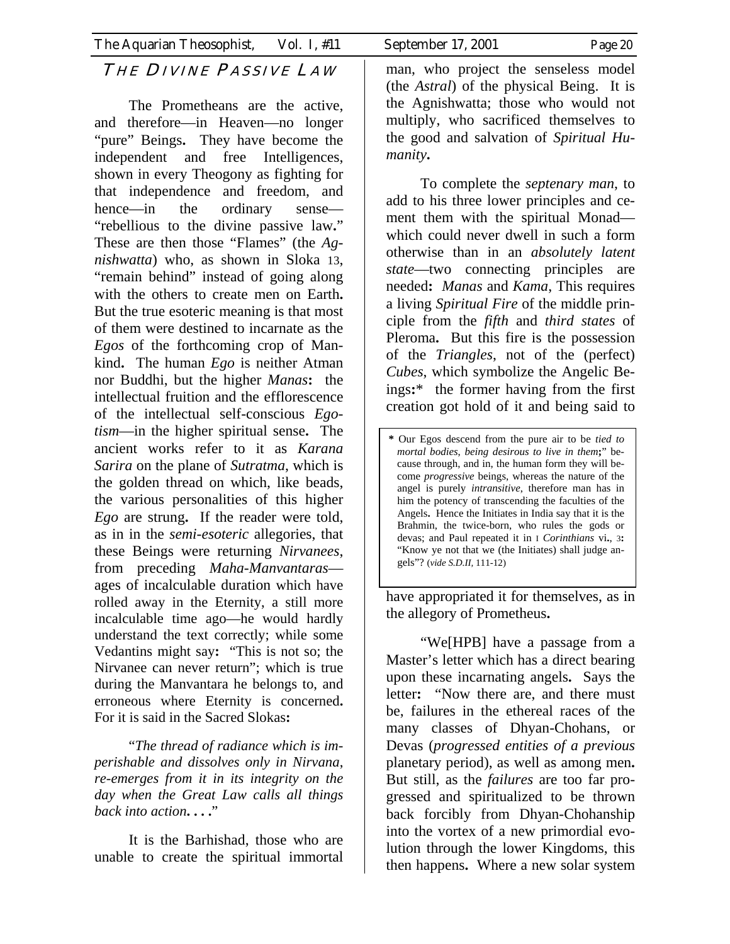## THE DIVINE PASSIVE LAW

The Prometheans are the active, and therefore—in Heaven—no longer "pure" Beings**.** They have become the independent and free Intelligences, shown in every Theogony as fighting for that independence and freedom, and hence—in the ordinary sense— "rebellious to the divine passive law**.**" These are then those "Flames" (the *Agnishwatta*) who, as shown in Sloka 13, "remain behind" instead of going along with the others to create men on Earth**.** But the true esoteric meaning is that most of them were destined to incarnate as the *Egos* of the forthcoming crop of Mankind**.** The human *Ego* is neither Atman nor Buddhi, but the higher *Manas***:** the intellectual fruition and the efflorescence of the intellectual self-conscious *Egotism*—in the higher spiritual sense**.** The ancient works refer to it as *Karana Sarira* on the plane of *Sutratma*, which is the golden thread on which, like beads, the various personalities of this higher *Ego* are strung**.** If the reader were told, as in in the *semi-esoteric* allegories, that these Beings were returning *Nirvanees*, from preceding *Maha-Manvantaras* ages of incalculable duration which have rolled away in the Eternity, a still more incalculable time ago—he would hardly understand the text correctly; while some Vedantins might say**:** "This is not so; the Nirvanee can never return"; which is true during the Manvantara he belongs to, and erroneous where Eternity is concerned**.** For it is said in the Sacred Slokas**:**

"*The thread of radiance which is imperishable and dissolves only in Nirvana*, *re-emerges from it in its integrity on the day when the Great Law calls all things back into action***. . . .**"

It is the Barhishad, those who are unable to create the spiritual immortal man, who project the senseless model (the *Astral*) of the physical Being. It is the Agnishwatta; those who would not multiply, who sacrificed themselves to the good and salvation of *Spiritual Humanity***.** 

To complete the *septenary man*, to add to his three lower principles and cement them with the spiritual Monad which could never dwell in such a form otherwise than in an *absolutely latent state*—two connecting principles are needed**:** *Manas* and *Kama*, This requires a living *Spiritual Fire* of the middle principle from the *fifth* and *third states* of Pleroma**.** But this fire is the possession of the *Triangles*, not of the (perfect) *Cubes*, which symbolize the Angelic Beings**:**\* the former having from the first creation got hold of it and being said to

**\*** Our Egos descend from the pure air to be *tied to mortal bodies*, *being desirous to live in them***;**" because through, and in, the human form they will become *progressive* beings, whereas the nature of the angel is purely *intransitive*, therefore man has in him the potency of transcending the faculties of the Angels**.** Hence the Initiates in India say that it is the Brahmin, the twice-born, who rules the gods or devas; and Paul repeated it in I *Corinthians* vi**.**, 3**:**  "Know ye not that we (the Initiates) shall judge angels"? (*vide S.D.II,* 111-12)

have appropriated it for themselves, as in the allegory of Prometheus**.**

"We[HPB] have a passage from a Master's letter which has a direct bearing upon these incarnating angels**.** Says the letter**:** "Now there are, and there must be, failures in the ethereal races of the many classes of Dhyan-Chohans, or Devas (*progressed entities of a previous* planetary period), as well as among men**.** But still, as the *failures* are too far progressed and spiritualized to be thrown back forcibly from Dhyan-Chohanship into the vortex of a new primordial evolution through the lower Kingdoms, this then happens**.** Where a new solar system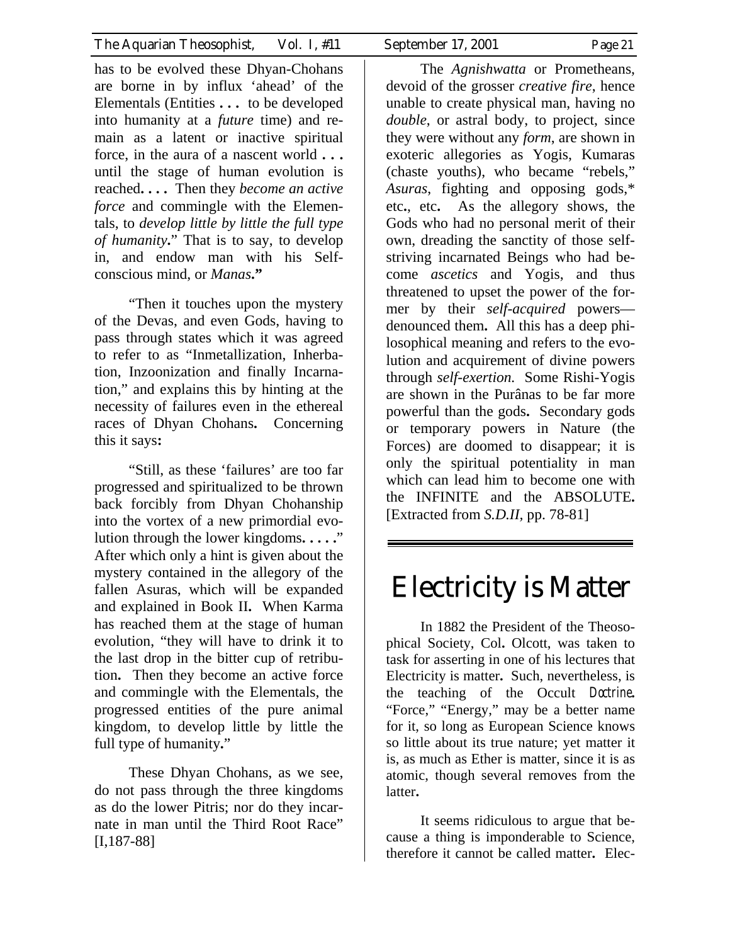has to be evolved these Dhyan-Chohans are borne in by influx 'ahead' of the Elementals (Entities **. . .** to be developed into humanity at a *future* time) and remain as a latent or inactive spiritual force, in the aura of a nascent world **. . .** until the stage of human evolution is reached**. . . .** Then they *become an active force* and commingle with the Elementals, to *develop little by little the full type of humanity***.**" That is to say, to develop in, and endow man with his Selfconscious mind, or *Manas***."**

"Then it touches upon the mystery of the Devas, and even Gods, having to pass through states which it was agreed to refer to as "Inmetallization, Inherbation, Inzoonization and finally Incarnation," and explains this by hinting at the necessity of failures even in the ethereal races of Dhyan Chohans**.** Concerning this it says**:**

"Still, as these 'failures' are too far progressed and spiritualized to be thrown back forcibly from Dhyan Chohanship into the vortex of a new primordial evolution through the lower kingdoms**. . . . .**" After which only a hint is given about the mystery contained in the allegory of the fallen Asuras, which will be expanded and explained in Book II**.** When Karma has reached them at the stage of human evolution, "they will have to drink it to the last drop in the bitter cup of retribution**.** Then they become an active force and commingle with the Elementals, the progressed entities of the pure animal kingdom, to develop little by little the full type of humanity**.**"

These Dhyan Chohans, as we see, do not pass through the three kingdoms as do the lower Pitris; nor do they incarnate in man until the Third Root Race" [I,187-88]

The *Agnishwatta* or Prometheans, devoid of the grosser *creative fire*, hence unable to create physical man, having no *double*, or astral body, to project, since they were without any *form*, are shown in exoteric allegories as Yogis, Kumaras (chaste youths), who became "rebels," *Asuras*, fighting and opposing gods,\* etc**.**, etc**.** As the allegory shows, the Gods who had no personal merit of their own, dreading the sanctity of those selfstriving incarnated Beings who had become *ascetics* and Yogis, and thus threatened to upset the power of the former by their *self-acquired* powers denounced them**.** All this has a deep philosophical meaning and refers to the evolution and acquirement of divine powers through *self-exertion.* Some Rishi-Yogis are shown in the Purânas to be far more powerful than the gods**.** Secondary gods or temporary powers in Nature (the Forces) are doomed to disappear; it is only the spiritual potentiality in man which can lead him to become one with the INFINITE and the ABSOLUTE**.**  [Extracted from *S.D.II,* pp. 78-81]

# Electricity is Matter

In 1882 the President of the Theosophical Society, Col**.** Olcott, was taken to task for asserting in one of his lectures that Electricity is matter**.** Such, nevertheless, is the teaching of the Occult Doctrine**.**  "Force," "Energy," may be a better name for it, so long as European Science knows so little about its true nature; yet matter it is, as much as Ether is matter, since it is as atomic, though several removes from the latter**.** 

It seems ridiculous to argue that because a thing is imponderable to Science, therefore it cannot be called matter**.** Elec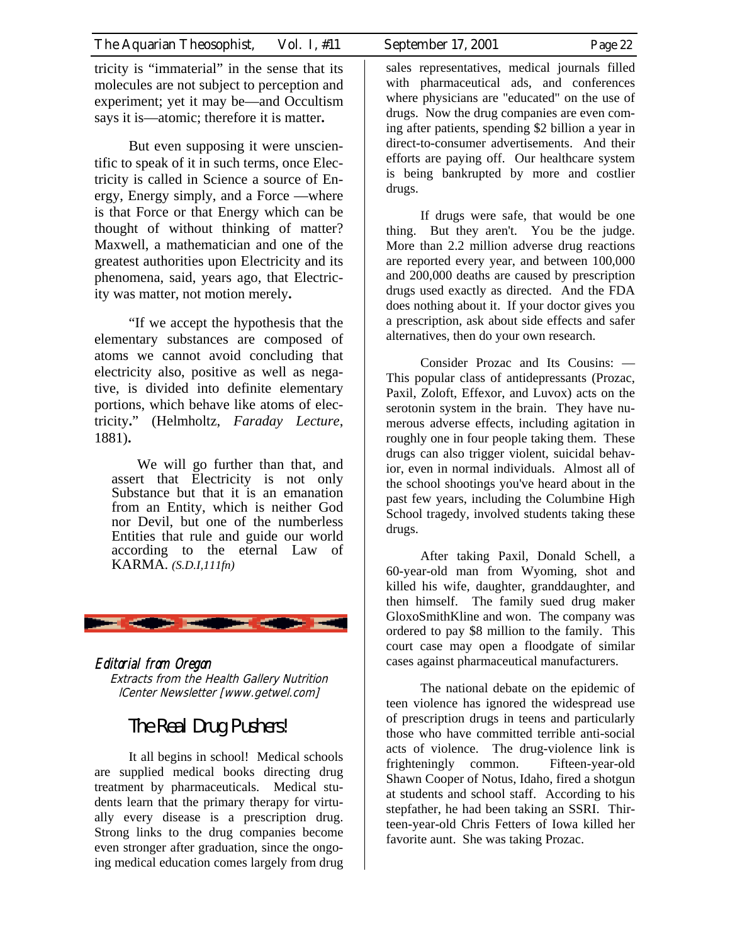tricity is "immaterial" in the sense that its molecules are not subject to perception and experiment; yet it may be—and Occultism says it is—atomic; therefore it is matter**.** 

But even supposing it were unscientific to speak of it in such terms, once Electricity is called in Science a source of Energy, Energy simply, and a Force —where is that Force or that Energy which can be thought of without thinking of matter? Maxwell, a mathematician and one of the greatest authorities upon Electricity and its phenomena, said, years ago, that Electricity was matter, not motion merely**.** 

"If we accept the hypothesis that the elementary substances are composed of atoms we cannot avoid concluding that electricity also, positive as well as negative, is divided into definite elementary portions, which behave like atoms of electricity**.**" (Helmholtz, *Faraday Lecture*, 1881)**.** 

We will go further than that, and assert that Electricity is not only Substance but that it is an emanation from an Entity, which is neither God nor Devil, but one of the numberless Entities that rule and guide our world according to the eternal Law of KARMA. *(S.D.I,111fn)*



### Editorial from Oregon Extracts from the Health Gallery Nutrition lCenter Newsletter [www.getwel.com]

# The Real Drug Pushers!

It all begins in school! Medical schools are supplied medical books directing drug treatment by pharmaceuticals. Medical students learn that the primary therapy for virtually every disease is a prescription drug. Strong links to the drug companies become even stronger after graduation, since the ongoing medical education comes largely from drug

sales representatives, medical journals filled with pharmaceutical ads, and conferences where physicians are "educated" on the use of drugs. Now the drug companies are even coming after patients, spending \$2 billion a year in direct-to-consumer advertisements. And their efforts are paying off. Our healthcare system is being bankrupted by more and costlier drugs.

If drugs were safe, that would be one thing. But they aren't. You be the judge. More than 2.2 million adverse drug reactions are reported every year, and between 100,000 and 200,000 deaths are caused by prescription drugs used exactly as directed. And the FDA does nothing about it. If your doctor gives you a prescription, ask about side effects and safer alternatives, then do your own research.

Consider Prozac and Its Cousins: — This popular class of antidepressants (Prozac, Paxil, Zoloft, Effexor, and Luvox) acts on the serotonin system in the brain. They have numerous adverse effects, including agitation in roughly one in four people taking them. These drugs can also trigger violent, suicidal behavior, even in normal individuals. Almost all of the school shootings you've heard about in the past few years, including the Columbine High School tragedy, involved students taking these drugs.

After taking Paxil, Donald Schell, a 60-year-old man from Wyoming, shot and killed his wife, daughter, granddaughter, and then himself. The family sued drug maker GloxoSmithKline and won. The company was ordered to pay \$8 million to the family. This court case may open a floodgate of similar cases against pharmaceutical manufacturers.

The national debate on the epidemic of teen violence has ignored the widespread use of prescription drugs in teens and particularly those who have committed terrible anti-social acts of violence. The drug-violence link is frighteningly common. Fifteen-year-old Shawn Cooper of Notus, Idaho, fired a shotgun at students and school staff. According to his stepfather, he had been taking an SSRI. Thirteen-year-old Chris Fetters of Iowa killed her favorite aunt. She was taking Prozac.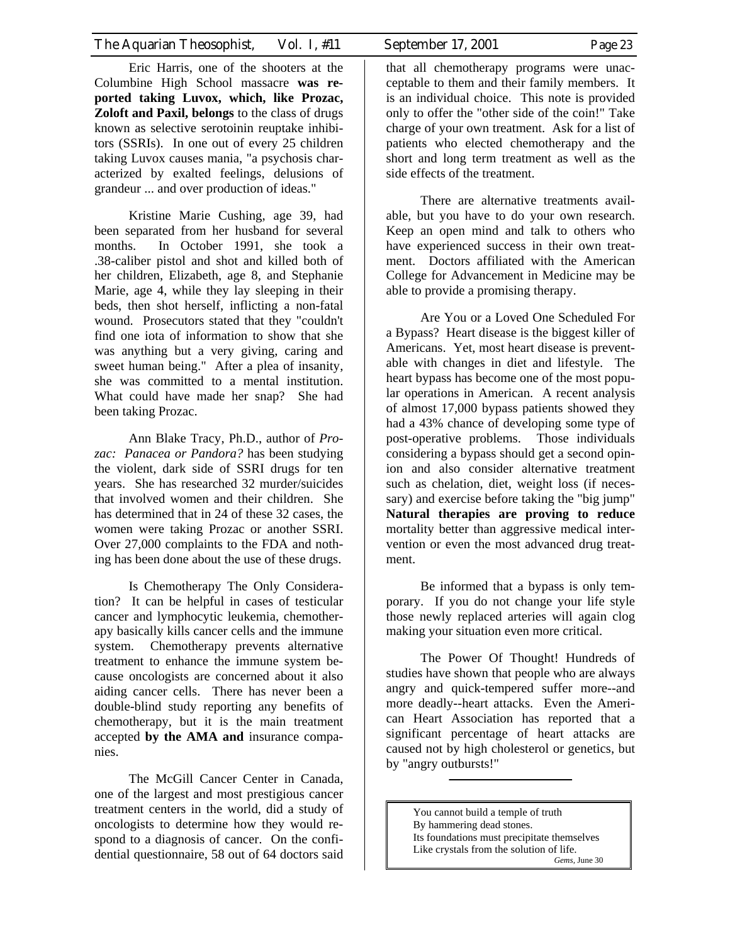Eric Harris, one of the shooters at the Columbine High School massacre **was reported taking Luvox, which, like Prozac, Zoloft and Paxil, belongs** to the class of drugs known as selective serotoinin reuptake inhibitors (SSRIs). In one out of every 25 children taking Luvox causes mania, "a psychosis characterized by exalted feelings, delusions of grandeur ... and over production of ideas."

Kristine Marie Cushing, age 39, had been separated from her husband for several months. In October 1991, she took a .38-caliber pistol and shot and killed both of her children, Elizabeth, age 8, and Stephanie Marie, age 4, while they lay sleeping in their beds, then shot herself, inflicting a non-fatal wound. Prosecutors stated that they "couldn't find one iota of information to show that she was anything but a very giving, caring and sweet human being." After a plea of insanity, she was committed to a mental institution. What could have made her snap? She had been taking Prozac.

Ann Blake Tracy, Ph.D., author of *Prozac: Panacea or Pandora?* has been studying the violent, dark side of SSRI drugs for ten years. She has researched 32 murder/suicides that involved women and their children. She has determined that in 24 of these 32 cases, the women were taking Prozac or another SSRI. Over 27,000 complaints to the FDA and nothing has been done about the use of these drugs.

Is Chemotherapy The Only Consideration? It can be helpful in cases of testicular cancer and lymphocytic leukemia, chemotherapy basically kills cancer cells and the immune system. Chemotherapy prevents alternative treatment to enhance the immune system because oncologists are concerned about it also aiding cancer cells. There has never been a double-blind study reporting any benefits of chemotherapy, but it is the main treatment accepted **by the AMA and** insurance companies.

The McGill Cancer Center in Canada, one of the largest and most prestigious cancer treatment centers in the world, did a study of oncologists to determine how they would respond to a diagnosis of cancer. On the confidential questionnaire, 58 out of 64 doctors said

that all chemotherapy programs were unacceptable to them and their family members. It is an individual choice. This note is provided only to offer the "other side of the coin!" Take charge of your own treatment. Ask for a list of patients who elected chemotherapy and the short and long term treatment as well as the side effects of the treatment.

There are alternative treatments available, but you have to do your own research. Keep an open mind and talk to others who have experienced success in their own treatment. Doctors affiliated with the American College for Advancement in Medicine may be able to provide a promising therapy.

Are You or a Loved One Scheduled For a Bypass? Heart disease is the biggest killer of Americans. Yet, most heart disease is preventable with changes in diet and lifestyle. The heart bypass has become one of the most popular operations in American. A recent analysis of almost 17,000 bypass patients showed they had a 43% chance of developing some type of post-operative problems. Those individuals considering a bypass should get a second opinion and also consider alternative treatment such as chelation, diet, weight loss (if necessary) and exercise before taking the "big jump" **Natural therapies are proving to reduce**  mortality better than aggressive medical intervention or even the most advanced drug treatment.

Be informed that a bypass is only temporary. If you do not change your life style those newly replaced arteries will again clog making your situation even more critical.

The Power Of Thought! Hundreds of studies have shown that people who are always angry and quick-tempered suffer more--and more deadly--heart attacks. Even the American Heart Association has reported that a significant percentage of heart attacks are caused not by high cholesterol or genetics, but by "angry outbursts!"

> You cannot build a temple of truth By hammering dead stones. Its foundations must precipitate themselves Like crystals from the solution of life.

*Gems,* June 30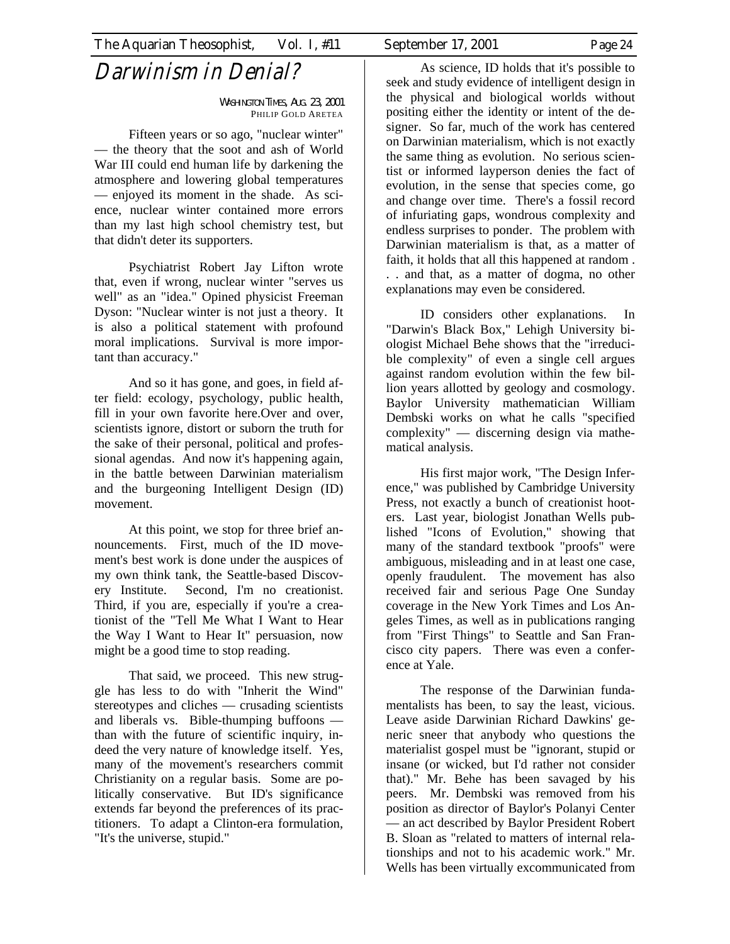# Darwinism in Denial?

WASHINGTON TIMES, AUG. 23, 2001 PHILIP GOLD ARETEA

Fifteen years or so ago, "nuclear winter" — the theory that the soot and ash of World War III could end human life by darkening the atmosphere and lowering global temperatures — enjoyed its moment in the shade. As science, nuclear winter contained more errors than my last high school chemistry test, but that didn't deter its supporters.

Psychiatrist Robert Jay Lifton wrote that, even if wrong, nuclear winter "serves us well" as an "idea." Opined physicist Freeman Dyson: "Nuclear winter is not just a theory. It is also a political statement with profound moral implications. Survival is more important than accuracy."

And so it has gone, and goes, in field after field: ecology, psychology, public health, fill in your own favorite here.Over and over, scientists ignore, distort or suborn the truth for the sake of their personal, political and professional agendas. And now it's happening again, in the battle between Darwinian materialism and the burgeoning Intelligent Design (ID) movement.

At this point, we stop for three brief announcements. First, much of the ID movement's best work is done under the auspices of my own think tank, the Seattle-based Discovery Institute. Second, I'm no creationist. Third, if you are, especially if you're a creationist of the "Tell Me What I Want to Hear the Way I Want to Hear It" persuasion, now might be a good time to stop reading.

That said, we proceed. This new struggle has less to do with "Inherit the Wind" stereotypes and cliches — crusading scientists and liberals vs. Bible-thumping buffoons than with the future of scientific inquiry, indeed the very nature of knowledge itself. Yes, many of the movement's researchers commit Christianity on a regular basis. Some are politically conservative. But ID's significance extends far beyond the preferences of its practitioners. To adapt a Clinton-era formulation, "It's the universe, stupid."

As science, ID holds that it's possible to seek and study evidence of intelligent design in the physical and biological worlds without positing either the identity or intent of the designer. So far, much of the work has centered on Darwinian materialism, which is not exactly the same thing as evolution. No serious scientist or informed layperson denies the fact of evolution, in the sense that species come, go and change over time. There's a fossil record of infuriating gaps, wondrous complexity and endless surprises to ponder. The problem with Darwinian materialism is that, as a matter of faith, it holds that all this happened at random . . . and that, as a matter of dogma, no other explanations may even be considered.

ID considers other explanations. In "Darwin's Black Box," Lehigh University biologist Michael Behe shows that the "irreducible complexity" of even a single cell argues against random evolution within the few billion years allotted by geology and cosmology. Baylor University mathematician William Dembski works on what he calls "specified complexity" — discerning design via mathematical analysis.

His first major work, "The Design Inference," was published by Cambridge University Press, not exactly a bunch of creationist hooters. Last year, biologist Jonathan Wells published "Icons of Evolution," showing that many of the standard textbook "proofs" were ambiguous, misleading and in at least one case, openly fraudulent. The movement has also received fair and serious Page One Sunday coverage in the New York Times and Los Angeles Times, as well as in publications ranging from "First Things" to Seattle and San Francisco city papers. There was even a conference at Yale.

The response of the Darwinian fundamentalists has been, to say the least, vicious. Leave aside Darwinian Richard Dawkins' generic sneer that anybody who questions the materialist gospel must be "ignorant, stupid or insane (or wicked, but I'd rather not consider that)." Mr. Behe has been savaged by his peers. Mr. Dembski was removed from his position as director of Baylor's Polanyi Center — an act described by Baylor President Robert B. Sloan as "related to matters of internal relationships and not to his academic work." Mr. Wells has been virtually excommunicated from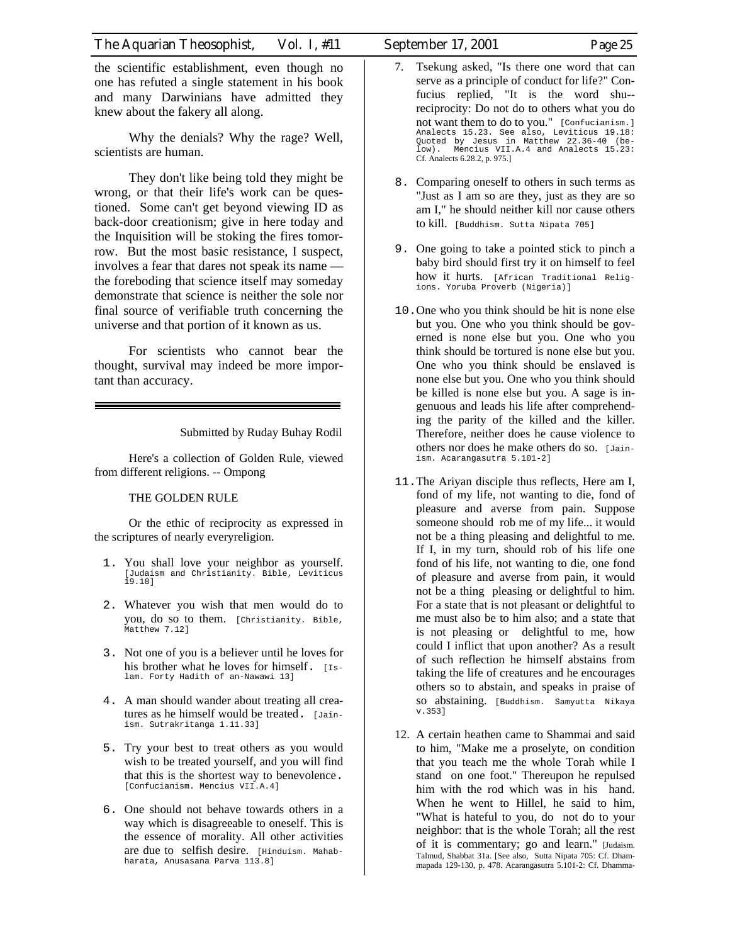the scientific establishment, even though no one has refuted a single statement in his book and many Darwinians have admitted they knew about the fakery all along.

Why the denials? Why the rage? Well, scientists are human.

They don't like being told they might be wrong, or that their life's work can be questioned. Some can't get beyond viewing ID as back-door creationism; give in here today and the Inquisition will be stoking the fires tomorrow. But the most basic resistance, I suspect, involves a fear that dares not speak its name the foreboding that science itself may someday demonstrate that science is neither the sole nor final source of verifiable truth concerning the universe and that portion of it known as us.

For scientists who cannot bear the thought, survival may indeed be more important than accuracy.

Submitted by Ruday Buhay Rodil

Here's a collection of Golden Rule, viewed from different religions. -- Ompong

THE GOLDEN RULE

Or the ethic of reciprocity as expressed in the scriptures of nearly everyreligion.

- 1. You shall love your neighbor as yourself. [Judaism and Christianity. Bible, Leviticus 19.18]
- 2. Whatever you wish that men would do to you, do so to them. [Christianity. Bible, Matthew 7.12]
- 3. Not one of you is a believer until he loves for his brother what he loves for himself. [Islam. Forty Hadith of an-Nawawi 13]
- 4. A man should wander about treating all creatures as he himself would be treated. [Jainism. Sutrakritanga 1.11.33]
- 5. Try your best to treat others as you would wish to be treated yourself, and you will find that this is the shortest way to benevolence. [Confucianism. Mencius VII.A.4]
- 6. One should not behave towards others in a way which is disagreeable to oneself. This is the essence of morality. All other activities are due to selfish desire. [Hinduism. Mahabharata, Anusasana Parva 113.8]
- 7. Tsekung asked, "Is there one word that can serve as a principle of conduct for life?" Confucius replied, "It is the word shu- reciprocity: Do not do to others what you do not want them to do to you." [Confucianism.] Analects 15.23. See also, Leviticus 19.18: Quoted by Jesus in Matthew 22.36-40 (be-low). Mencius VII.A.4 and Analects 15.23: Cf. Analects 6.28.2, p. 975.]
- 8. Comparing oneself to others in such terms as "Just as I am so are they, just as they are so am I," he should neither kill nor cause others to kill. [Buddhism. Sutta Nipata 705]
- 9. One going to take a pointed stick to pinch a baby bird should first try it on himself to feel how it hurts. [African Traditional Religions. Yoruba Proverb (Nigeria)]
- 10.One who you think should be hit is none else but you. One who you think should be governed is none else but you. One who you think should be tortured is none else but you. One who you think should be enslaved is none else but you. One who you think should be killed is none else but you. A sage is ingenuous and leads his life after comprehending the parity of the killed and the killer. Therefore, neither does he cause violence to others nor does he make others do so. [Jainism. Acarangasutra 5.101-2]
- 11.The Ariyan disciple thus reflects, Here am I, fond of my life, not wanting to die, fond of pleasure and averse from pain. Suppose someone should rob me of my life... it would not be a thing pleasing and delightful to me. If I, in my turn, should rob of his life one fond of his life, not wanting to die, one fond of pleasure and averse from pain, it would not be a thing pleasing or delightful to him. For a state that is not pleasant or delightful to me must also be to him also; and a state that is not pleasing or delightful to me, how could I inflict that upon another? As a result of such reflection he himself abstains from taking the life of creatures and he encourages others so to abstain, and speaks in praise of so abstaining. [Buddhism. Samyutta Nikaya v.353]
- 12. A certain heathen came to Shammai and said to him, "Make me a proselyte, on condition that you teach me the whole Torah while I stand on one foot." Thereupon he repulsed him with the rod which was in his hand. When he went to Hillel, he said to him, "What is hateful to you, do not do to your neighbor: that is the whole Torah; all the rest of it is commentary; go and learn." [Judaism. Talmud, Shabbat 31a. [See also, Sutta Nipata 705: Cf. Dhammapada 129-130, p. 478. Acarangasutra 5.101-2: Cf. Dhamma-